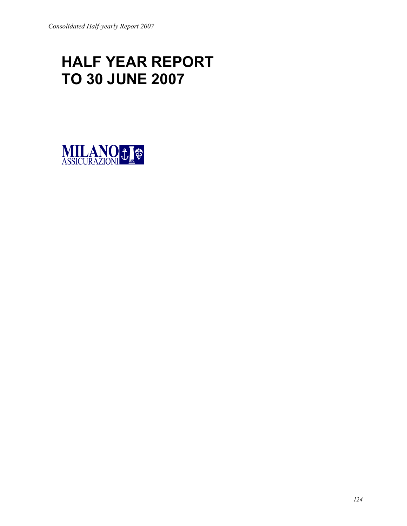# HALF YEAR REPORT TO 30 JUNE 2007

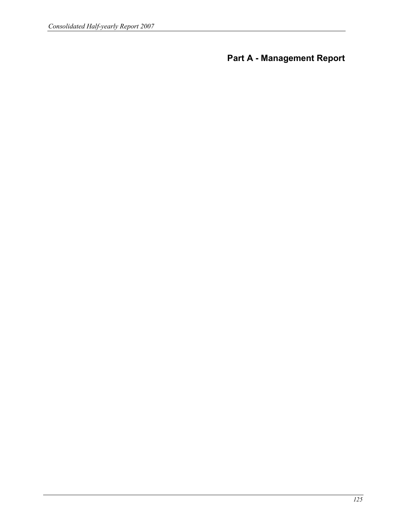Part A - Management Report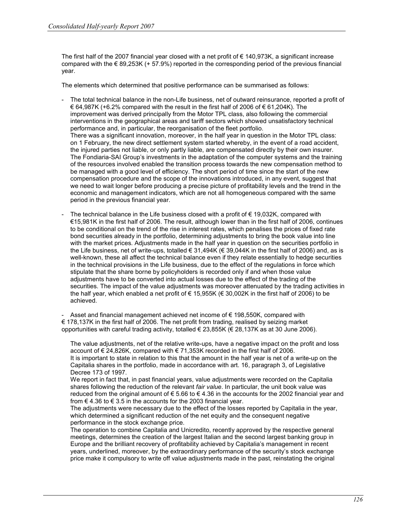The first half of the 2007 financial year closed with a net profit of  $\epsilon$  140,973K, a significant increase compared with the  $\epsilon$  89,253K (+ 57.9%) reported in the corresponding period of the previous financial year.

The elements which determined that positive performance can be summarised as follows:

- The total technical balance in the non-Life business, net of outward reinsurance, reported a profit of € 64,987K (+6.2% compared with the result in the first half of 2006 of € 61,204K). The improvement was derived principally from the Motor TPL class, also following the commercial interventions in the geographical areas and tariff sectors which showed unsatisfactory technical performance and, in particular, the reorganisation of the fleet portfolio. There was a significant innovation, moreover, in the half year in question in the Motor TPL class: on 1 February, the new direct settlement system started whereby, in the event of a road accident, the injured parties not liable, or only partly liable, are compensated directly by their own insurer. The Fondiaria-SAI Group's investments in the adaptation of the computer systems and the training of the resources involved enabled the transition process towards the new compensation method to be managed with a good level of efficiency. The short period of time since the start of the new compensation procedure and the scope of the innovations introduced, in any event, suggest that we need to wait longer before producing a precise picture of profitability levels and the trend in the economic and management indicators, which are not all homogeneous compared with the same period in the previous financial year.
- The technical balance in the Life business closed with a profit of  $\epsilon$  19,032K, compared with €15,981K in the first half of 2006. The result, although lower than in the first half of 2006, continues to be conditional on the trend of the rise in interest rates, which penalises the prices of fixed rate bond securities already in the portfolio, determining adjustments to bring the book value into line with the market prices. Adjustments made in the half year in question on the securities portfolio in the Life business, net of write-ups, totalled  $\epsilon$  31,494K ( $\epsilon$  39,044K in the first half of 2006) and, as is well-known, these all affect the technical balance even if they relate essentially to hedge securities in the technical provisions in the Life business, due to the effect of the regulations in force which stipulate that the share borne by policyholders is recorded only if and when those value adjustments have to be converted into actual losses due to the effect of the trading of the securities. The impact of the value adjustments was moreover attenuated by the trading activities in the half year, which enabled a net profit of  $\epsilon$  15,955K ( $\epsilon$  30,002K in the first half of 2006) to be achieved.

Asset and financial management achieved net income of  $\epsilon$  198,550K, compared with € 178,137K in the first half of 2006. The net profit from trading, realised by seizing market opportunities with careful trading activity, totalled  $\in$  23,855K ( $\in$  28,137K as at 30 June 2006).

The value adjustments, net of the relative write-ups, have a negative impact on the profit and loss account of € 24,826K, compared with € 71,353K recorded in the first half of 2006. It is important to state in relation to this that the amount in the half year is net of a write-up on the Capitalia shares in the portfolio, made in accordance with art. 16, paragraph 3, of Legislative Decree 173 of 1997.

We report in fact that, in past financial years, value adjustments were recorded on the Capitalia shares following the reduction of the relevant fair value. In particular, the unit book value was reduced from the original amount of € 5.66 to € 4.36 in the accounts for the 2002 financial year and from  $\epsilon$  4.36 to  $\epsilon$  3.5 in the accounts for the 2003 financial year.

The adjustments were necessary due to the effect of the losses reported by Capitalia in the year, which determined a significant reduction of the net equity and the consequent negative performance in the stock exchange price.

The operation to combine Capitalia and Unicredito, recently approved by the respective general meetings, determines the creation of the largest Italian and the second largest banking group in Europe and the brilliant recovery of profitability achieved by Capitalia's management in recent years, underlined, moreover, by the extraordinary performance of the security's stock exchange price make it compulsory to write off value adjustments made in the past, reinstating the original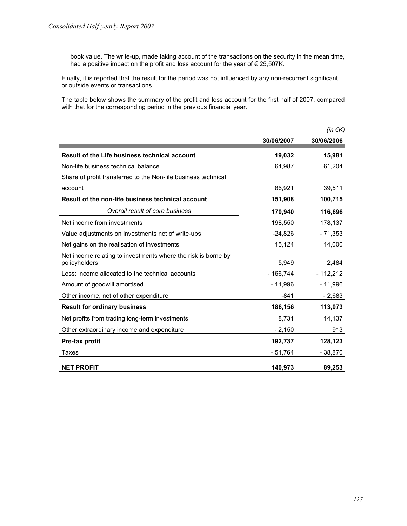book value. The write-up, made taking account of the transactions on the security in the mean time, had a positive impact on the profit and loss account for the year of € 25,507K.

Finally, it is reported that the result for the period was not influenced by any non-recurrent significant or outside events or transactions.

The table below shows the summary of the profit and loss account for the first half of 2007, compared with that for the corresponding period in the previous financial year.

|                                                                                |            | (in $\notin K$ ) |
|--------------------------------------------------------------------------------|------------|------------------|
|                                                                                | 30/06/2007 | 30/06/2006       |
| Result of the Life business technical account                                  | 19,032     | 15,981           |
| Non-life business technical balance                                            | 64,987     | 61,204           |
| Share of profit transferred to the Non-life business technical                 |            |                  |
| account                                                                        | 86,921     | 39,511           |
| Result of the non-life business technical account                              | 151,908    | 100,715          |
| Overall result of core business                                                | 170,940    | 116,696          |
| Net income from investments                                                    | 198,550    | 178,137          |
| Value adjustments on investments net of write-ups                              | $-24,826$  | $-71,353$        |
| Net gains on the realisation of investments                                    | 15,124     | 14,000           |
| Net income relating to investments where the risk is borne by<br>policyholders | 5,949      | 2,484            |
| Less: income allocated to the technical accounts                               | $-166,744$ | $-112,212$       |
| Amount of goodwill amortised                                                   | $-11,996$  | $-11,996$        |
| Other income, net of other expenditure                                         | $-841$     | $-2,683$         |
| <b>Result for ordinary business</b>                                            | 186,156    | 113,073          |
| Net profits from trading long-term investments                                 | 8,731      | 14,137           |
| Other extraordinary income and expenditure                                     | $-2,150$   | 913              |
| Pre-tax profit                                                                 | 192,737    | 128,123          |
| Taxes                                                                          | - 51,764   | - 38,870         |
| <b>NET PROFIT</b>                                                              | 140.973    | 89,253           |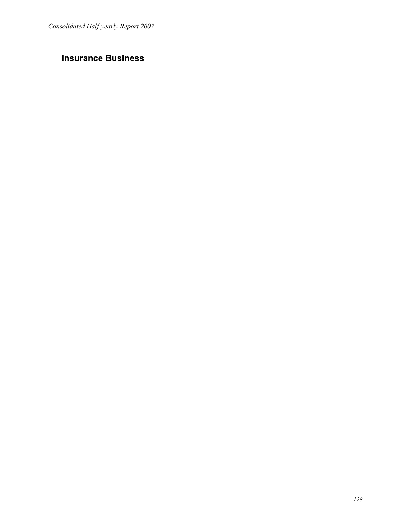# Insurance Business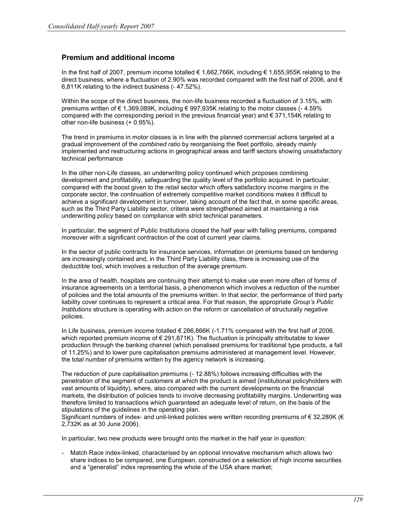# Premium and additional income

In the first half of 2007, premium income totalled € 1,662,766K, including € 1,655,955K relating to the direct business, where a fluctuation of 2.90% was recorded compared with the first half of 2006, and  $\epsilon$ 6,811K relating to the indirect business (- 47.52%).

Within the scope of the direct business, the non-life business recorded a fluctuation of 3.15%, with premiums written of € 1,369,089K, including € 997,935K relating to the motor classes (- 4.59% compared with the corresponding period in the previous financial year) and  $\epsilon$  371,154K relating to other non-life business (+ 0.95%).

The trend in premiums in motor classes is in line with the planned commercial actions targeted at a gradual improvement of the combined ratio by reorganising the fleet portfolio, already mainly implemented and restructuring actions in geographical areas and tariff sectors showing unsatisfactory technical performance

In the other non-Life classes, an underwriting policy continued which proposes combining development and profitability, safeguarding the quality level of the portfolio acquired. In particular, compared with the boost given to the retail sector which offers satisfactory income margins in the corporate sector, the continuation of extremely competitive market conditions makes it difficult to achieve a significant development in turnover, taking account of the fact that, in some specific areas, such as the Third Party Liability sector, criteria were strengthened aimed at maintaining a risk underwriting policy based on compliance with strict technical parameters.

In particular, the segment of Public Institutions closed the half year with falling premiums, compared moreover with a significant contraction of the cost of current year claims.

In the sector of public contracts for insurance services, information on premiums based on tendering are increasingly contained and, in the Third Party Liability class, there is increasing use of the deductible tool, which involves a reduction of the average premium.

In the area of health, hospitals are continuing their attempt to make use even more often of forms of insurance agreements on a territorial basis, a phenomenon which involves a reduction of the number of policies and the total amounts of the premiums written. In that sector, the performance of third party liability cover continues to represent a critical area. For that reason, the appropriate Group's Public Institutions structure is operating with action on the reform or cancellation of structurally negative policies.

In Life business, premium income totalled  $\epsilon$  286,866K (-1.71% compared with the first half of 2006, which reported premium income of €291,871K). The fluctuation is principally attributable to lower production through the banking channel (which penalised premiums for traditional type products, a fall of 11.25%) and to lower pure capitalisation premiums administered at management level. However, the total number of premiums written by the agency network is increasing.

The reduction of pure capitalisation premiums (- 12.88%) follows increasing difficulties with the penetration of the segment of customers at which the product is aimed (institutional policyholders with vast amounts of liquidity), where, also compared with the current developments on the financial markets, the distribution of policies tends to involve decreasing profitability margins. Underwriting was therefore limited to transactions which guaranteed an adequate level of return, on the basis of the stipulations of the guidelines in the operating plan.

Significant numbers of index- and unit-linked policies were written recording premiums of € 32,280K (€ 2,732K as at 30 June 2006).

In particular, two new products were brought onto the market in the half year in question:

- Match Race index-linked, characterised by an optional innovative mechanism which allows two share indices to be compared, one European, constructed on a selection of high income securities and a "generalist" index representing the whole of the USA share market;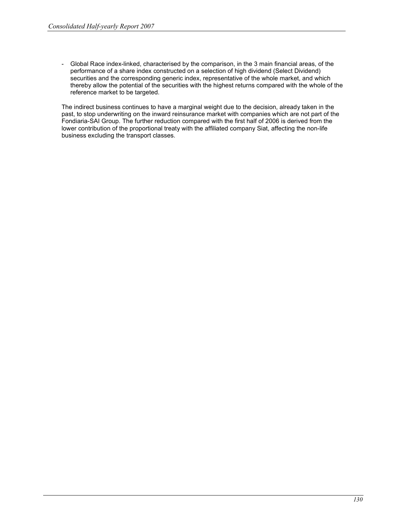- Global Race index-linked, characterised by the comparison, in the 3 main financial areas, of the performance of a share index constructed on a selection of high dividend (Select Dividend) securities and the corresponding generic index, representative of the whole market, and which thereby allow the potential of the securities with the highest returns compared with the whole of the reference market to be targeted.

The indirect business continues to have a marginal weight due to the decision, already taken in the past, to stop underwriting on the inward reinsurance market with companies which are not part of the Fondiaria-SAI Group. The further reduction compared with the first half of 2006 is derived from the lower contribution of the proportional treaty with the affiliated company Siat, affecting the non-life business excluding the transport classes.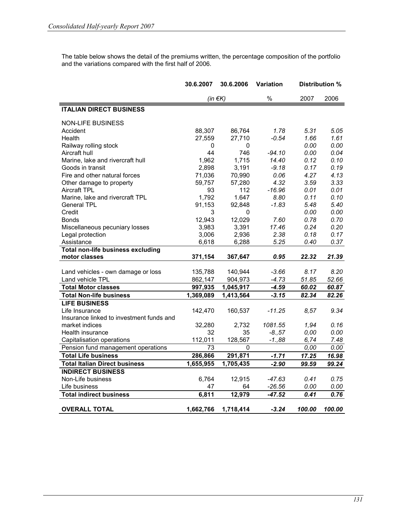The table below shows the detail of the premiums written, the percentage composition of the portfolio and the variations compared with the first half of 2006.

| 30.6.2007<br>30.6.2006<br><b>Variation</b>                                         | Distribution % |
|------------------------------------------------------------------------------------|----------------|
| $\%$<br>2007<br>(in $\notin K$ )                                                   | 2006           |
| <b>ITALIAN DIRECT BUSINESS</b>                                                     |                |
| <b>NON-LIFE BUSINESS</b>                                                           |                |
| 88,307<br>1.78<br>5.31<br>Accident<br>86,764                                       | 5.05           |
| $-0.54$<br>1.66<br>Health<br>27,559<br>27,710                                      | 1.61           |
| 0.00<br>Railway rolling stock<br>0<br>0                                            | 0.00           |
| Aircraft hull<br>44<br>746<br>$-94.10$<br>0.00                                     | 0.04           |
| 1,715<br>Marine, lake and rivercraft hull<br>14.40<br>0.12<br>1,962                | 0.10           |
| 2,898<br>3,191<br>0.17<br>Goods in transit<br>$-9.18$                              | 0.19           |
| 71,036<br>70,990<br>0.06<br>4.27<br>Fire and other natural forces                  | 4.13           |
| 4.32<br>Other damage to property<br>59,757<br>57,280<br>3.59                       | 3.33           |
| Aircraft TPL<br>93<br>112<br>$-16.96$<br>0.01                                      | 0.01           |
| Marine, lake and rivercraft TPL<br>1,792<br>1.647<br>8.80<br>0.11                  | 0.10           |
| 91,153<br><b>General TPL</b><br>92,848<br>$-1.83$<br>5.48                          | 5.40           |
| 0.00<br>Credit<br>3<br>0                                                           | 0.00           |
| 12,943<br>12,029<br>7.60<br>0.78<br><b>Bonds</b>                                   | 0.70           |
| 17.46<br>3,983<br>3,391<br>0.24<br>Miscellaneous pecuniary losses                  | 0.20           |
| 3,006<br>2,936<br>2.38<br>0.18<br>Legal protection                                 | 0.17           |
| Assistance<br>6,618<br>6,288<br>5.25<br>0.40                                       | 0.37           |
| <b>Total non-life business excluding</b>                                           |                |
| motor classes<br>0.95<br>22.32<br>371,154<br>367,647                               | 21.39          |
| Land vehicles - own damage or loss<br>135,788<br>140,944<br>$-3.66$<br>8.17        | 8.20           |
| Land vehicle TPL<br>904,973<br>$-4.73$<br>51.85<br>862,147                         | 52.66          |
| <b>Total Motor classes</b><br>997,935<br>1,045,917<br>$-4.59$<br>60.02             | 60.87          |
| <b>Total Non-life business</b><br>1,369,089<br>1,413,564<br>$-3.15$<br>82.34       | 82.26          |
| <b>LIFE BUSINESS</b>                                                               |                |
| Life Insurance<br>142,470<br>160,537<br>$-11.25$<br>8.57                           | 9.34           |
| Insurance linked to investment funds and                                           |                |
| 32,280<br>1081.55<br>1,94<br>market indices<br>2,732                               | 0.16           |
| 32<br>Health insurance<br>35<br>$-8.57$<br>0,00                                    | 0.00           |
| 112,011<br>128,567<br>Capitalisation operations<br>$-1.88$<br>6,74                 | 7.48           |
| Pension fund management operations<br>73<br>0<br>0.00                              | 0.00           |
| <b>Total Life business</b><br>286,866<br>291,871<br>$-1.71$<br>17.25               | 16.98          |
| 1,705,435<br>$-2.90$<br><b>Total Italian Direct business</b><br>1,655,955<br>99.59 | 99.24          |
| <b>INDIRECT BUSINESS</b>                                                           |                |
| Non-Life business<br>6,764<br>12,915<br>$-47.63$<br>0.41                           | 0.75           |
| Life business<br>47<br>64<br>$-26.56$<br>0.00                                      | 0.00           |
| 6,811<br>12,979<br><b>Total indirect business</b><br>$-47.52$<br>0.41              | 0.76           |
|                                                                                    |                |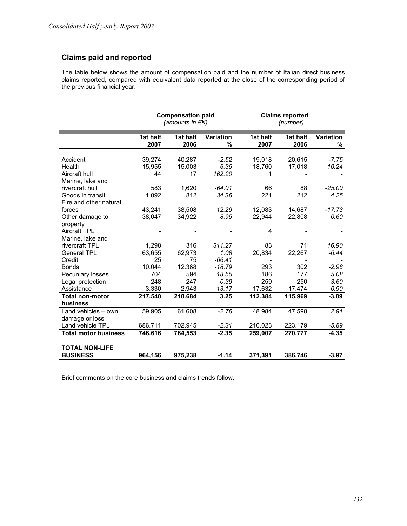# Claims paid and reported

The table below shows the amount of compensation paid and the number of Italian direct business claims reported, compared with equivalent data reported at the close of the corresponding period of the previous financial year.

|                             |                  | <b>Compensation paid</b><br>(amounts in €K) |                |                  | <b>Claims reported</b><br>(number) |                |  |  |  |  |
|-----------------------------|------------------|---------------------------------------------|----------------|------------------|------------------------------------|----------------|--|--|--|--|
|                             | 1st half<br>2007 | 1st half<br>2006                            | Variation<br>% | 1st half<br>2007 | 1st half<br>2006                   | Variation<br>% |  |  |  |  |
| Accident                    | 39,274           | 40.287                                      | $-2.52$        | 19,018           | 20.615                             | $-7.75$        |  |  |  |  |
| Health                      | 15,955           | 15,003                                      | 6.35           | 18,760           | 17,018                             | 10.24          |  |  |  |  |
| Aircraft hull               | 44               | 17                                          | 162.20         | 1                |                                    |                |  |  |  |  |
| Marine, lake and            |                  |                                             |                |                  |                                    |                |  |  |  |  |
| rivercraft hull             | 583              | 1,620                                       | $-64.01$       | 66               | 88                                 | $-25.00$       |  |  |  |  |
| Goods in transit            | 1,092            | 812                                         | 34.36          | 221              | 212                                | 4.25           |  |  |  |  |
| Fire and other natural      |                  |                                             |                |                  |                                    |                |  |  |  |  |
| forces                      | 43,241           | 38,508                                      | 12.29          | 12.083           | 14,687                             | $-17.73$       |  |  |  |  |
| Other damage to             | 38,047           | 34,922                                      | 8.95           | 22,944           | 22,808                             | 0.60           |  |  |  |  |
| property                    |                  |                                             |                |                  |                                    |                |  |  |  |  |
| <b>Aircraft TPL</b>         |                  |                                             |                | 4                |                                    |                |  |  |  |  |
| Marine, lake and            |                  |                                             |                |                  |                                    |                |  |  |  |  |
| rivercraft TPL              | 1,298            | 316                                         | 311.27         | 83               | 71                                 | 16.90          |  |  |  |  |
| <b>General TPL</b>          | 63,655           | 62,973                                      | 1.08           | 20,834           | 22,267                             | $-6.44$        |  |  |  |  |
| Credit                      | 25               | 75                                          | $-66.41$       |                  |                                    |                |  |  |  |  |
| <b>Bonds</b>                | 10.044           | 12.368                                      | $-18.79$       | 293              | 302                                | $-2.98$        |  |  |  |  |
| Pecuniary losses            | 704              | 594                                         | 18.55          | 186              | 177                                | 5.08           |  |  |  |  |
| Legal protection            | 248              | 247                                         | 0.39           | 259              | 250                                | 3.60           |  |  |  |  |
| Assistance                  | 3.330            | 2.943                                       | 13.17          | 17.632           | 17.474                             | 0.90           |  |  |  |  |
| <b>Total non-motor</b>      | 217.540          | 210.684                                     | 3.25           | 112.384          | 115.969                            | $-3.09$        |  |  |  |  |
| business                    |                  |                                             |                |                  |                                    |                |  |  |  |  |
| Land vehicles - own         | 59.905           | 61.608                                      | $-2.76$        | 48.984           | 47.598                             | 2.91           |  |  |  |  |
| damage or loss              |                  |                                             |                |                  |                                    |                |  |  |  |  |
| Land vehicle TPL            | 686.711          | 702.945                                     | $-2.31$        | 210.023          | 223.179                            | $-5.89$        |  |  |  |  |
| <b>Total motor business</b> | 746.616          | 764,553                                     | $-2.35$        | 259,007          | 270,777                            | $-4.35$        |  |  |  |  |
| <b>TOTAL NON-LIFE</b>       |                  |                                             |                |                  |                                    |                |  |  |  |  |
| <b>BUSINESS</b>             | 964,156          | 975,238                                     | $-1.14$        | 371,391          | 386,746                            | $-3.97$        |  |  |  |  |

Brief comments on the core business and claims trends follow.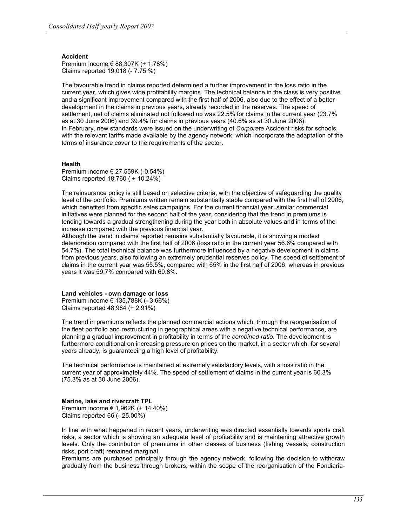#### Accident

Premium income € 88,307K (+ 1.78%) Claims reported 19,018 (- 7.75 %)

The favourable trend in claims reported determined a further improvement in the loss ratio in the current year, which gives wide profitability margins. The technical balance in the class is very positive and a significant improvement compared with the first half of 2006, also due to the effect of a better development in the claims in previous years, already recorded in the reserves. The speed of settlement, net of claims eliminated not followed up was 22.5% for claims in the current year (23.7% as at 30 June 2006) and 39.4% for claims in previous years (40.6% as at 30 June 2006). In February, new standards were issued on the underwriting of Corporate Accident risks for schools, with the relevant tariffs made available by the agency network, which incorporate the adaptation of the terms of insurance cover to the requirements of the sector.

#### Health

Premium income € 27,559K (-0.54%) Claims reported 18,760 ( + 10.24%)

The reinsurance policy is still based on selective criteria, with the objective of safeguarding the quality level of the portfolio. Premiums written remain substantially stable compared with the first half of 2006, which benefited from specific sales campaigns. For the current financial year, similar commercial initiatives were planned for the second half of the year, considering that the trend in premiums is tending towards a gradual strengthening during the year both in absolute values and in terms of the increase compared with the previous financial year.

Although the trend in claims reported remains substantially favourable, it is showing a modest deterioration compared with the first half of 2006 (loss ratio in the current year 56.6% compared with 54.7%). The total technical balance was furthermore influenced by a negative development in claims from previous years, also following an extremely prudential reserves policy. The speed of settlement of claims in the current year was 55.5%, compared with 65% in the first half of 2006, whereas in previous years it was 59.7% compared with 60.8%.

#### Land vehicles - own damage or loss

Premium income € 135,788K (- 3.66%) Claims reported 48,984 (+ 2.91%)

The trend in premiums reflects the planned commercial actions which, through the reorganisation of the fleet portfolio and restructuring in geographical areas with a negative technical performance, are planning a gradual improvement in profitability in terms of the combined ratio. The development is furthermore conditional on increasing pressure on prices on the market, in a sector which, for several years already, is guaranteeing a high level of profitability.

The technical performance is maintained at extremely satisfactory levels, with a loss ratio in the current year of approximately 44%. The speed of settlement of claims in the current year is 60.3% (75.3% as at 30 June 2006).

#### Marine, lake and rivercraft TPL

Premium income € 1,962K (+ 14.40%) Claims reported 66 (- 25.00%)

In line with what happened in recent years, underwriting was directed essentially towards sports craft risks, a sector which is showing an adequate level of profitability and is maintaining attractive growth levels. Only the contribution of premiums in other classes of business (fishing vessels, construction risks, port craft) remained marginal.

Premiums are purchased principally through the agency network, following the decision to withdraw gradually from the business through brokers, within the scope of the reorganisation of the Fondiaria-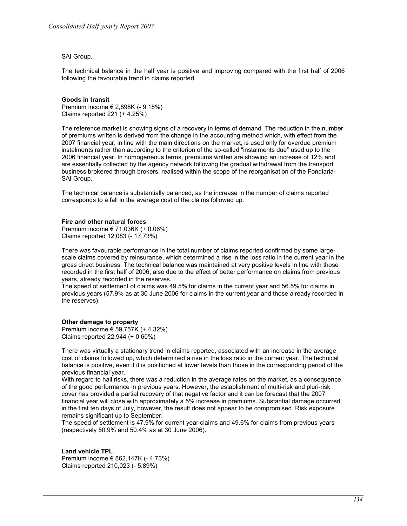#### SAI Group.

The technical balance in the half year is positive and improving compared with the first half of 2006 following the favourable trend in claims reported.

#### Goods in transit

Premium income € 2,898K (- 9.18%) Claims reported 221 (+ 4.25%)

The reference market is showing signs of a recovery in terms of demand. The reduction in the number of premiums written is derived from the change in the accounting method which, with effect from the 2007 financial year, in line with the main directions on the market, is used only for overdue premium instalments rather than according to the criterion of the so-called "instalments due" used up to the 2006 financial year. In homogeneous terms, premiums written are showing an increase of 12% and are essentially collected by the agency network following the gradual withdrawal from the transport business brokered through brokers, realised within the scope of the reorganisation of the Fondiaria-SAI Group.

The technical balance is substantially balanced, as the increase in the number of claims reported corresponds to a fall in the average cost of the claims followed up.

#### Fire and other natural forces

Premium income € 71,036K (+ 0.06%) Claims reported 12,083 (- 17.73%)

There was favourable performance in the total number of claims reported confirmed by some largescale claims covered by reinsurance, which determined a rise in the loss ratio in the current year in the gross direct business. The technical balance was maintained at very positive levels in line with those recorded in the first half of 2006, also due to the effect of better performance on claims from previous years, already recorded in the reserves.

The speed of settlement of claims was 49.5% for claims in the current year and 56.5% for claims in previous years (57.9% as at 30 June 2006 for claims in the current year and those already recorded in the reserves).

#### Other damage to property

Premium income € 59,757K (+ 4.32%) Claims reported 22,944 (+ 0.60%)

There was virtually a stationary trend in claims reported, associated with an increase in the average cost of claims followed up, which determined a rise in the loss ratio in the current year. The technical balance is positive, even if it is positioned at lower levels than those in the corresponding period of the previous financial year.

With regard to hail risks, there was a reduction in the average rates on the market, as a consequence of the good performance in previous years. However, the establishment of multi-risk and pluri-risk cover has provided a partial recovery of that negative factor and it can be forecast that the 2007 financial year will close with approximately a 5% increase in premiums. Substantial damage occurred in the first ten days of July, however, the result does not appear to be compromised. Risk exposure remains significant up to September.

The speed of settlement is 47.9% for current year claims and 49.6% for claims from previous years (respectively 50.9% and 50.4% as at 30 June 2006).

#### Land vehicle TPL

Premium income € 862,147K (- 4.73%) Claims reported 210,023 (- 5.89%)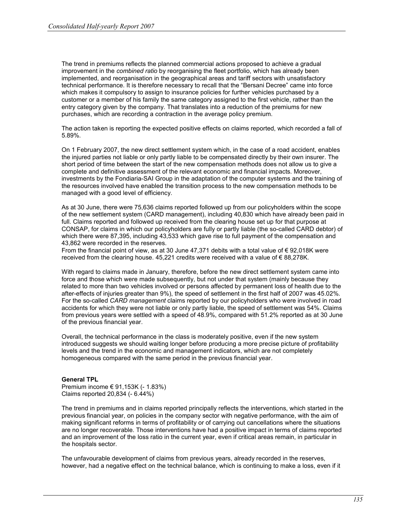The trend in premiums reflects the planned commercial actions proposed to achieve a gradual improvement in the combined ratio by reorganising the fleet portfolio, which has already been implemented, and reorganisation in the geographical areas and tariff sectors with unsatisfactory technical performance. It is therefore necessary to recall that the "Bersani Decree" came into force which makes it compulsory to assign to insurance policies for further vehicles purchased by a customer or a member of his family the same category assigned to the first vehicle, rather than the entry category given by the company. That translates into a reduction of the premiums for new purchases, which are recording a contraction in the average policy premium.

The action taken is reporting the expected positive effects on claims reported, which recorded a fall of 5.89%.

On 1 February 2007, the new direct settlement system which, in the case of a road accident, enables the injured parties not liable or only partly liable to be compensated directly by their own insurer. The short period of time between the start of the new compensation methods does not allow us to give a complete and definitive assessment of the relevant economic and financial impacts. Moreover, investments by the Fondiaria-SAI Group in the adaptation of the computer systems and the training of the resources involved have enabled the transition process to the new compensation methods to be managed with a good level of efficiency.

As at 30 June, there were 75,636 claims reported followed up from our policyholders within the scope of the new settlement system (CARD management), including 40,830 which have already been paid in full. Claims reported and followed up received from the clearing house set up for that purpose at CONSAP, for claims in which our policyholders are fully or partly liable (the so-called CARD debtor) of which there were 87,395, including 43,533 which gave rise to full payment of the compensation and 43,862 were recorded in the reserves.

From the financial point of view, as at 30 June 47,371 debits with a total value of € 92,018K were received from the clearing house.  $45,221$  credits were received with a value of  $\epsilon$  88,278K.

With regard to claims made in January, therefore, before the new direct settlement system came into force and those which were made subsequently, but not under that system (mainly because they related to more than two vehicles involved or persons affected by permanent loss of health due to the after-effects of injuries greater than 9%), the speed of settlement in the first half of 2007 was 45.02%. For the so-called CARD management claims reported by our policyholders who were involved in road accidents for which they were not liable or only partly liable, the speed of settlement was 54%. Claims from previous years were settled with a speed of 48.9%, compared with 51.2% reported as at 30 June of the previous financial year.

Overall, the technical performance in the class is moderately positive, even if the new system introduced suggests we should waiting longer before producing a more precise picture of profitability levels and the trend in the economic and management indicators, which are not completely homogeneous compared with the same period in the previous financial year.

#### General TPL

Premium income € 91,153K (- 1.83%) Claims reported 20,834 (- 6.44%)

The trend in premiums and in claims reported principally reflects the interventions, which started in the previous financial year, on policies in the company sector with negative performance, with the aim of making significant reforms in terms of profitability or of carrying out cancellations where the situations are no longer recoverable. Those interventions have had a positive impact in terms of claims reported and an improvement of the loss ratio in the current year, even if critical areas remain, in particular in the hospitals sector.

The unfavourable development of claims from previous years, already recorded in the reserves, however, had a negative effect on the technical balance, which is continuing to make a loss, even if it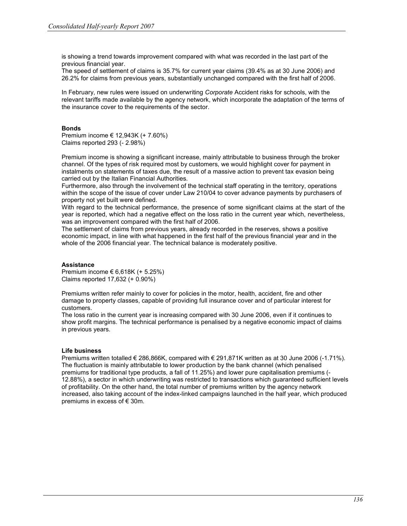is showing a trend towards improvement compared with what was recorded in the last part of the previous financial year.

The speed of settlement of claims is 35.7% for current year claims (39.4% as at 30 June 2006) and 26.2% for claims from previous years, substantially unchanged compared with the first half of 2006.

In February, new rules were issued on underwriting Corporate Accident risks for schools, with the relevant tariffs made available by the agency network, which incorporate the adaptation of the terms of the insurance cover to the requirements of the sector.

#### Bonds

Premium income € 12,943K (+ 7.60%) Claims reported 293 (- 2.98%)

Premium income is showing a significant increase, mainly attributable to business through the broker channel. Of the types of risk required most by customers, we would highlight cover for payment in instalments on statements of taxes due, the result of a massive action to prevent tax evasion being carried out by the Italian Financial Authorities.

Furthermore, also through the involvement of the technical staff operating in the territory, operations within the scope of the issue of cover under Law 210/04 to cover advance payments by purchasers of property not yet built were defined.

With regard to the technical performance, the presence of some significant claims at the start of the year is reported, which had a negative effect on the loss ratio in the current year which, nevertheless, was an improvement compared with the first half of 2006.

The settlement of claims from previous years, already recorded in the reserves, shows a positive economic impact, in line with what happened in the first half of the previous financial year and in the whole of the 2006 financial year. The technical balance is moderately positive.

#### **Assistance**

Premium income € 6.618K  $(+ 5.25%)$ Claims reported 17,632 (+ 0.90%)

Premiums written refer mainly to cover for policies in the motor, health, accident, fire and other damage to property classes, capable of providing full insurance cover and of particular interest for customers.

The loss ratio in the current year is increasing compared with 30 June 2006, even if it continues to show profit margins. The technical performance is penalised by a negative economic impact of claims in previous years.

#### Life business

Premiums written totalled € 286,866K, compared with € 291,871K written as at 30 June 2006 (-1.71%). The fluctuation is mainly attributable to lower production by the bank channel (which penalised premiums for traditional type products, a fall of 11.25%) and lower pure capitalisation premiums (- 12.88%), a sector in which underwriting was restricted to transactions which guaranteed sufficient levels of profitability. On the other hand, the total number of premiums written by the agency network increased, also taking account of the index-linked campaigns launched in the half year, which produced premiums in excess of € 30m.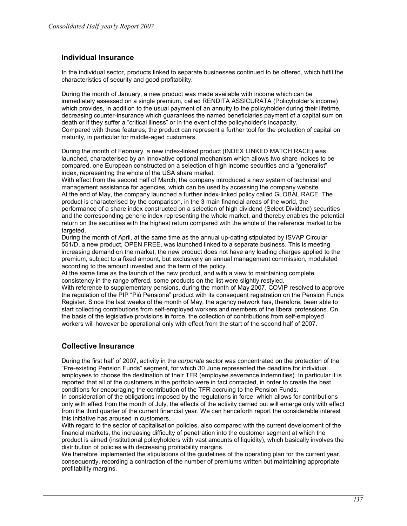# Individual Insurance

In the individual sector, products linked to separate businesses continued to be offered, which fulfil the characteristics of security and good profitability.

During the month of January, a new product was made available with income which can be immediately assessed on a single premium, called RENDITA ASSICURATA (Policyholder's income) which provides, in addition to the usual payment of an annuity to the policyholder during their lifetime, decreasing counter-insurance which guarantees the named beneficiaries payment of a capital sum on death or if they suffer a "critical illness" or in the event of the policyholder's incapacity. Compared with these features, the product can represent a further tool for the protection of capital on maturity, in particular for middle-aged customers.

During the month of February, a new index-linked product (INDEX LINKED MATCH RACE) was launched, characterised by an innovative optional mechanism which allows two share indices to be compared, one European constructed on a selection of high income securities and a "generalist" index, representing the whole of the USA share market.

With effect from the second half of March, the company introduced a new system of technical and management assistance for agencies, which can be used by accessing the company website. At the end of May, the company launched a further index-linked policy called GLOBAL RACE. The product is characterised by the comparison, in the 3 main financial areas of the world, the performance of a share index constructed on a selection of high dividend (Select Dividend) securities and the corresponding generic index representing the whole market, and thereby enables the potential return on the securities with the highest return compared with the whole of the reference market to be targeted.

During the month of April, at the same time as the annual up-dating stipulated by ISVAP Circular 551/D, a new product, OPEN FREE, was launched linked to a separate business. This is meeting increasing demand on the market, the new product does not have any loading charges applied to the premium, subject to a fixed amount, but exclusively an annual management commission, modulated according to the amount invested and the term of the policy.

At the same time as the launch of the new product, and with a view to maintaining complete consistency in the range offered, some products on the list were slightly restyled.

With reference to supplementary pensions, during the month of May 2007, COVIP resolved to approve the regulation of the PIP "Più Pensione" product with its consequent registration on the Pension Funds Register. Since the last weeks of the month of May, the agency network has, therefore, been able to start collecting contributions from self-employed workers and members of the liberal professions. On the basis of the legislative provisions in force, the collection of contributions from self-employed workers will however be operational only with effect from the start of the second half of 2007.

### Collective Insurance

During the first half of 2007, activity in the corporate sector was concentrated on the protection of the "Pre-existing Pension Funds" segment, for which 30 June represented the deadline for individual employees to choose the destination of their TFR (employee severance indemnities). In particular it is reported that all of the customers in the portfolio were in fact contacted, in order to create the best conditions for encouraging the contribution of the TFR accruing to the Pension Funds.

In consideration of the obligations imposed by the regulations in force, which allows for contributions only with effect from the month of July, the effects of the activity carried out will emerge only with effect from the third quarter of the current financial year. We can henceforth report the considerable interest this initiative has aroused in customers.

With regard to the sector of capitalisation policies, also compared with the current development of the financial markets, the increasing difficulty of penetration into the customer segment at which the product is aimed (institutional policyholders with vast amounts of liquidity), which basically involves the distribution of policies with decreasing profitability margins.

We therefore implemented the stipulations of the guidelines of the operating plan for the current year, consequently, recording a contraction of the number of premiums written but maintaining appropriate profitability margins.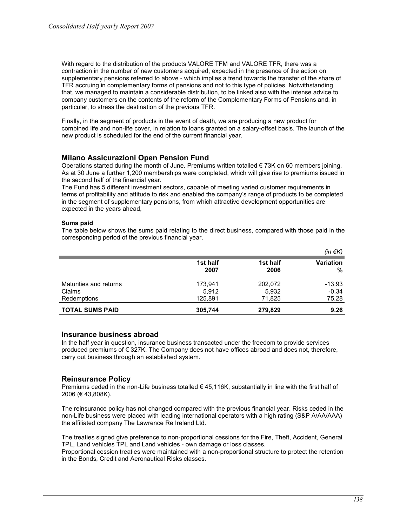With regard to the distribution of the products VALORE TFM and VALORE TFR, there was a contraction in the number of new customers acquired, expected in the presence of the action on supplementary pensions referred to above - which implies a trend towards the transfer of the share of TFR accruing in complementary forms of pensions and not to this type of policies. Notwithstanding that, we managed to maintain a considerable distribution, to be linked also with the intense advice to company customers on the contents of the reform of the Complementary Forms of Pensions and, in particular, to stress the destination of the previous TFR.

Finally, in the segment of products in the event of death, we are producing a new product for combined life and non-life cover, in relation to loans granted on a salary-offset basis. The launch of the new product is scheduled for the end of the current financial year.

## Milano Assicurazioni Open Pension Fund

Operations started during the month of June. Premiums written totalled  $\epsilon$  73K on 60 members joining. As at 30 June a further 1,200 memberships were completed, which will give rise to premiums issued in the second half of the financial year.

The Fund has 5 different investment sectors, capable of meeting varied customer requirements in terms of profitability and attitude to risk and enabled the company's range of products to be completed in the segment of supplementary pensions, from which attractive development opportunities are expected in the years ahead,

#### Sums paid

The table below shows the sums paid relating to the direct business, compared with those paid in the corresponding period of the previous financial year.

|                        |                  |                  | (in $\notin K$ ) |
|------------------------|------------------|------------------|------------------|
|                        | 1st half<br>2007 | 1st half<br>2006 | Variation<br>℅   |
| Maturities and returns | 173,941          | 202,072          | $-13.93$         |
| Claims                 | 5,912            | 5,932            | $-0.34$          |
| Redemptions            | 125,891          | 71.825           | 75.28            |
| <b>TOTAL SUMS PAID</b> | 305,744          | 279,829          | 9.26             |

### Insurance business abroad

In the half year in question, insurance business transacted under the freedom to provide services produced premiums of € 327K. The Company does not have offices abroad and does not, therefore, carry out business through an established system.

### Reinsurance Policy

Premiums ceded in the non-Life business totalled  $\epsilon$  45,116K, substantially in line with the first half of 2006 (€ 43,808K).

The reinsurance policy has not changed compared with the previous financial year. Risks ceded in the non-Life business were placed with leading international operators with a high rating (S&P A/AA/AAA) the affiliated company The Lawrence Re Ireland Ltd.

The treaties signed give preference to non-proportional cessions for the Fire, Theft, Accident, General TPL, Land vehicles TPL and Land vehicles - own damage or loss classes.

Proportional cession treaties were maintained with a non-proportional structure to protect the retention in the Bonds, Credit and Aeronautical Risks classes.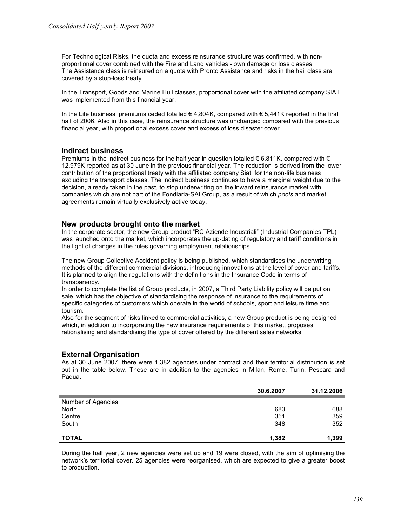For Technological Risks, the quota and excess reinsurance structure was confirmed, with nonproportional cover combined with the Fire and Land vehicles - own damage or loss classes. The Assistance class is reinsured on a quota with Pronto Assistance and risks in the hail class are covered by a stop-loss treaty.

In the Transport, Goods and Marine Hull classes, proportional cover with the affiliated company SIAT was implemented from this financial year.

In the Life business, premiums ceded totalled  $\in$  4,804K, compared with  $\in$  5,441K reported in the first half of 2006. Also in this case, the reinsurance structure was unchanged compared with the previous financial year, with proportional excess cover and excess of loss disaster cover.

## Indirect business

Premiums in the indirect business for the half year in question totalled  $\epsilon$  6,811K, compared with  $\epsilon$ 12,979K reported as at 30 June in the previous financial year. The reduction is derived from the lower contribution of the proportional treaty with the affiliated company Siat, for the non-life business excluding the transport classes. The indirect business continues to have a marginal weight due to the decision, already taken in the past, to stop underwriting on the inward reinsurance market with companies which are not part of the Fondiaria-SAI Group, as a result of which pools and market agreements remain virtually exclusively active today.

### New products brought onto the market

In the corporate sector, the new Group product "RC Aziende Industriali" (Industrial Companies TPL) was launched onto the market, which incorporates the up-dating of regulatory and tariff conditions in the light of changes in the rules governing employment relationships.

The new Group Collective Accident policy is being published, which standardises the underwriting methods of the different commercial divisions, introducing innovations at the level of cover and tariffs. It is planned to align the regulations with the definitions in the Insurance Code in terms of transparency.

In order to complete the list of Group products, in 2007, a Third Party Liability policy will be put on sale, which has the objective of standardising the response of insurance to the requirements of specific categories of customers which operate in the world of schools, sport and leisure time and tourism.

Also for the segment of risks linked to commercial activities, a new Group product is being designed which, in addition to incorporating the new insurance requirements of this market, proposes rationalising and standardising the type of cover offered by the different sales networks.

# External Organisation

As at 30 June 2007, there were 1,382 agencies under contract and their territorial distribution is set out in the table below. These are in addition to the agencies in Milan, Rome, Turin, Pescara and Padua.

|                     | 30.6.2007 | 31.12.2006 |
|---------------------|-----------|------------|
| Number of Agencies: |           |            |
|                     | 683       | 688        |
| North               |           |            |
| Centre              | 351       | 359        |
| South               | 348       | 352        |
|                     |           |            |
| <b>TOTAL</b>        | 1,382     | 1,399      |

During the half year, 2 new agencies were set up and 19 were closed, with the aim of optimising the network's territorial cover. 25 agencies were reorganised, which are expected to give a greater boost to production.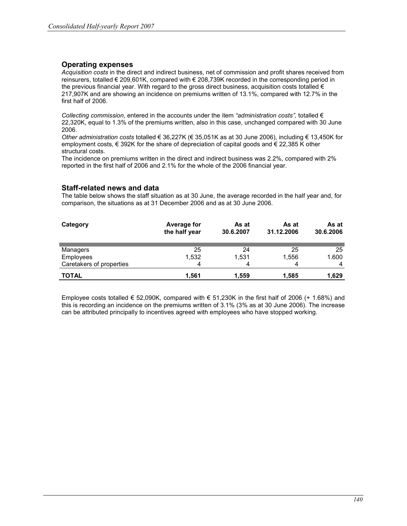# Operating expenses

Acquisition costs in the direct and indirect business, net of commission and profit shares received from reinsurers, totalled € 209,601K, compared with € 208,739K recorded in the corresponding period in the previous financial year. With regard to the gross direct business, acquisition costs totalled € 217,907K and are showing an incidence on premiums written of 13.1%, compared with 12.7% in the first half of 2006.

Collecting commission, entered in the accounts under the item "administration costs", totalled  $\epsilon$ 22,320K, equal to 1.3% of the premiums written, also in this case, unchanged compared with 30 June 2006.

Other administration costs totalled € 36,227K (€ 35,051K as at 30 June 2006), including € 13,450K for employment costs, € 392K for the share of depreciation of capital goods and € 22,385 K other structural costs.

The incidence on premiums written in the direct and indirect business was 2.2%, compared with 2% reported in the first half of 2006 and 2.1% for the whole of the 2006 financial year.

## Staff-related news and data

The table below shows the staff situation as at 30 June, the average recorded in the half year and, for comparison, the situations as at 31 December 2006 and as at 30 June 2006.

| Category                 | <b>Average for</b><br>the half year | As at<br>30.6.2007 | As at<br>31.12.2006 | As at<br>30.6.2006 |
|--------------------------|-------------------------------------|--------------------|---------------------|--------------------|
| Managers                 | 25                                  | 24                 | 25                  | 25                 |
| Employees                | 1,532                               | 1,531              | 1,556               | 1.600              |
| Caretakers of properties | 4                                   |                    | 4                   | 4                  |
| <b>TOTAL</b>             | 1.561                               | 1,559              | 1.585               | 1,629              |

Employee costs totalled  $\epsilon$  52,090K, compared with  $\epsilon$  51,230K in the first half of 2006 (+ 1.68%) and this is recording an incidence on the premiums written of 3.1% (3% as at 30 June 2006). The increase can be attributed principally to incentives agreed with employees who have stopped working.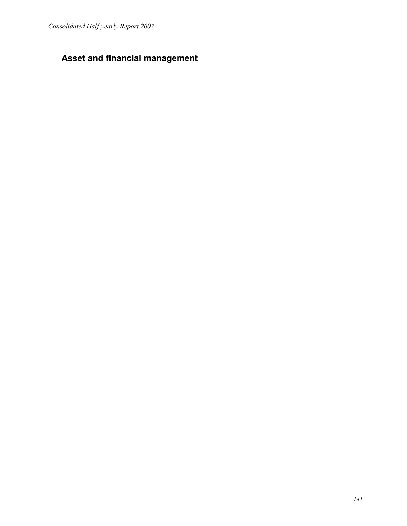# Asset and financial management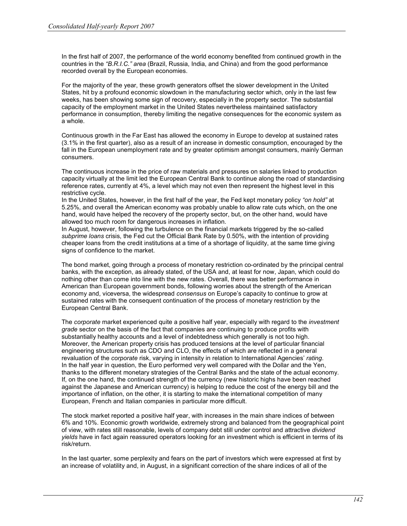In the first half of 2007, the performance of the world economy benefited from continued growth in the countries in the "B.R.I.C." area (Brazil, Russia, India, and China) and from the good performance recorded overall by the European economies.

For the majority of the year, these growth generators offset the slower development in the United States, hit by a profound economic slowdown in the manufacturing sector which, only in the last few weeks, has been showing some sign of recovery, especially in the property sector. The substantial capacity of the employment market in the United States nevertheless maintained satisfactory performance in consumption, thereby limiting the negative consequences for the economic system as a whole.

Continuous growth in the Far East has allowed the economy in Europe to develop at sustained rates (3.1% in the first quarter), also as a result of an increase in domestic consumption, encouraged by the fall in the European unemployment rate and by greater optimism amongst consumers, mainly German consumers.

The continuous increase in the price of raw materials and pressures on salaries linked to production capacity virtually at the limit led the European Central Bank to continue along the road of standardising reference rates, currently at 4%, a level which may not even then represent the highest level in this restrictive cycle.

In the United States, however, in the first half of the year, the Fed kept monetary policy "on hold" at 5.25%, and overall the American economy was probably unable to allow rate cuts which, on the one hand, would have helped the recovery of the property sector, but, on the other hand, would have allowed too much room for dangerous increases in inflation.

In August, however, following the turbulence on the financial markets triggered by the so-called subprime loans crisis, the Fed cut the Official Bank Rate by 0.50%, with the intention of providing cheaper loans from the credit institutions at a time of a shortage of liquidity, at the same time giving signs of confidence to the market.

The bond market, going through a process of monetary restriction co-ordinated by the principal central banks, with the exception, as already stated, of the USA and, at least for now, Japan, which could do nothing other than come into line with the new rates. Overall, there was better performance in American than European government bonds, following worries about the strength of the American economy and, viceversa, the widespread consensus on Europe's capacity to continue to grow at sustained rates with the consequent continuation of the process of monetary restriction by the European Central Bank.

The *corporate* market experienced quite a positive half year, especially with regard to the *investment* grade sector on the basis of the fact that companies are continuing to produce profits with substantially healthy accounts and a level of indebtedness which generally is not too high. Moreover, the American property crisis has produced tensions at the level of particular financial engineering structures such as CDO and CLO, the effects of which are reflected in a general revaluation of the corporate risk, varying in intensity in relation to International Agencies' rating. In the half year in question, the Euro performed very well compared with the Dollar and the Yen, thanks to the different monetary strategies of the Central Banks and the state of the actual economy. If, on the one hand, the continued strength of the currency (new historic highs have been reached against the Japanese and American currency) is helping to reduce the cost of the energy bill and the importance of inflation, on the other, it is starting to make the international competition of many European, French and Italian companies in particular more difficult.

The stock market reported a positive half year, with increases in the main share indices of between 6% and 10%. Economic growth worldwide, extremely strong and balanced from the geographical point of view, with rates still reasonable, levels of company debt still under control and attractive dividend yields have in fact again reassured operators looking for an investment which is efficient in terms of its risk/return.

In the last quarter, some perplexity and fears on the part of investors which were expressed at first by an increase of volatility and, in August, in a significant correction of the share indices of all of the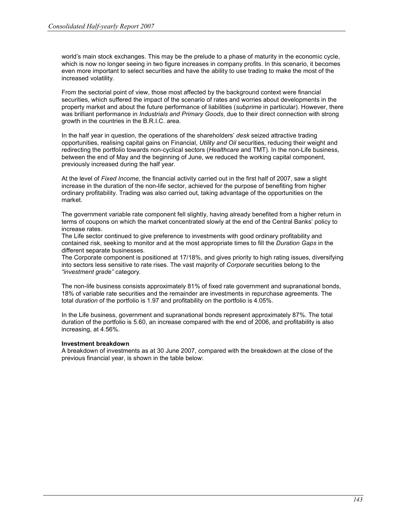world's main stock exchanges. This may be the prelude to a phase of maturity in the economic cycle, which is now no longer seeing in two figure increases in company profits. In this scenario, it becomes even more important to select securities and have the ability to use trading to make the most of the increased volatility.

From the sectorial point of view, those most affected by the background context were financial securities, which suffered the impact of the scenario of rates and worries about developments in the property market and about the future performance of liabilities (subprime in particular). However, there was brilliant performance in *Industrials and Primary Goods*, due to their direct connection with strong growth in the countries in the B.R.I.C. area.

In the half year in question, the operations of the shareholders' desk seized attractive trading opportunities, realising capital gains on Financial, Utility and Oil securities, reducing their weight and redirecting the portfolio towards non-cyclical sectors (Healthcare and TMT). In the non-Life business, between the end of May and the beginning of June, we reduced the working capital component, previously increased during the half year.

At the level of Fixed Income, the financial activity carried out in the first half of 2007, saw a slight increase in the duration of the non-life sector, achieved for the purpose of benefiting from higher ordinary profitability. Trading was also carried out, taking advantage of the opportunities on the market.

The government variable rate component fell slightly, having already benefited from a higher return in terms of coupons on which the market concentrated slowly at the end of the Central Banks' policy to increase rates.

The Life sector continued to give preference to investments with good ordinary profitability and contained risk, seeking to monitor and at the most appropriate times to fill the Duration Gaps in the different separate businesses.

The Corporate component is positioned at 17/18%, and gives priority to high rating issues, diversifying into sectors less sensitive to rate rises. The vast majority of Corporate securities belong to the "investment grade" category.

The non-life business consists approximately 81% of fixed rate government and supranational bonds, 18% of variable rate securities and the remainder are investments in repurchase agreements. The total duration of the portfolio is 1.97 and profitability on the portfolio is 4.05%.

In the Life business, government and supranational bonds represent approximately 87%. The total duration of the portfolio is 5.60, an increase compared with the end of 2006, and profitability is also increasing, at 4.56%.

#### Investment breakdown

A breakdown of investments as at 30 June 2007, compared with the breakdown at the close of the previous financial year, is shown in the table below: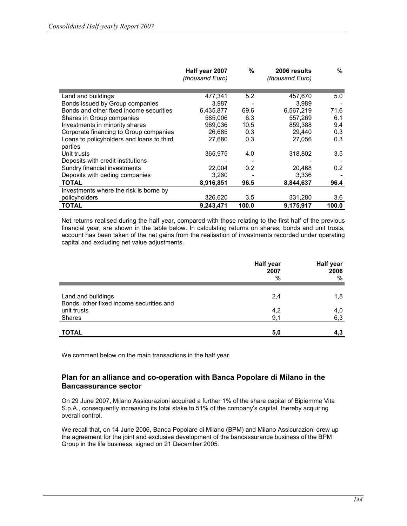|                                           | Half year 2007<br>(thousand Euro) | %                | 2006 results<br>(thousand Euro) | ℅                |
|-------------------------------------------|-----------------------------------|------------------|---------------------------------|------------------|
|                                           |                                   |                  |                                 |                  |
| Land and buildings                        | 477,341                           | 5.2              | 457,670                         | 5.0              |
| Bonds issued by Group companies           | 3,987                             |                  | 3,989                           |                  |
| Bonds and other fixed income securities   | 6,435,877                         | 69.6             | 6,567,219                       | 71.6             |
| Shares in Group companies                 | 585,006                           | 6.3              | 557.269                         | 6.1              |
| Investments in minority shares            | 969,036                           | 10.5             | 859,388                         | 9.4              |
| Corporate financing to Group companies    | 26,685                            | 0.3              | 29,440                          | 0.3              |
| Loans to policyholders and loans to third | 27,680                            | 0.3              | 27,056                          | 0.3              |
| parties                                   |                                   |                  |                                 |                  |
| Unit trusts                               | 365,975                           | 4.0              | 318,802                         | 3.5              |
| Deposits with credit institutions         |                                   |                  |                                 |                  |
| Sundry financial investments              | 22,004                            | 0.2 <sub>0</sub> | 20,468                          | 0.2 <sub>0</sub> |
| Deposits with ceding companies            | 3,260                             |                  | 3,336                           |                  |
| <b>TOTAL</b>                              | 8,916,851                         | 96.5             | 8,844,637                       | 96.4             |
| Investments where the risk is borne by    |                                   |                  |                                 |                  |
| policyholders                             | 326,620                           | 3.5              | 331,280                         | $3.6\,$          |
| <b>TOTAL</b>                              | 9,243,471                         | 100.0            | 9,175,917                       | 100.0            |

Net returns realised during the half year, compared with those relating to the first half of the previous financial year, are shown in the table below. In calculating returns on shares, bonds and unit trusts, account has been taken of the net gains from the realisation of investments recorded under operating capital and excluding net value adjustments.

|                                                                | <b>Half year</b><br>2007<br>% | Half year<br>2006<br>% |
|----------------------------------------------------------------|-------------------------------|------------------------|
|                                                                |                               |                        |
| Land and buildings<br>Bonds, other fixed income securities and | 2,4                           | 1,8                    |
| unit trusts                                                    | 4,2                           | 4,0                    |
| Shares                                                         | 9,1                           | 6,3                    |
|                                                                |                               |                        |
| <b>TOTAL</b>                                                   | 5,0                           | 4,3                    |

We comment below on the main transactions in the half year.

## Plan for an alliance and co-operation with Banca Popolare di Milano in the Bancassurance sector

On 29 June 2007, Milano Assicurazioni acquired a further 1% of the share capital of Bipiemme Vita S.p.A., consequently increasing its total stake to 51% of the company's capital, thereby acquiring overall control.

We recall that, on 14 June 2006, Banca Popolare di Milano (BPM) and Milano Assicurazioni drew up the agreement for the joint and exclusive development of the bancassurance business of the BPM Group in the life business, signed on 21 December 2005.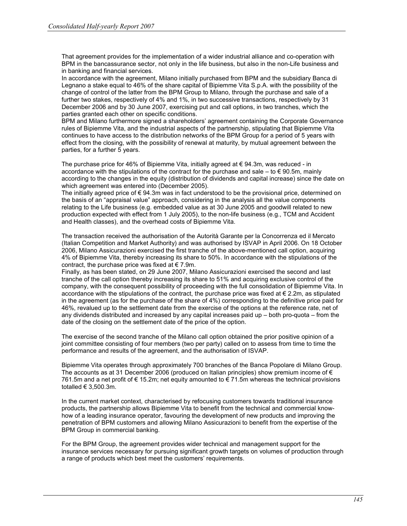That agreement provides for the implementation of a wider industrial alliance and co-operation with BPM in the bancassurance sector, not only in the life business, but also in the non-Life business and in banking and financial services.

In accordance with the agreement, Milano initially purchased from BPM and the subsidiary Banca di Legnano a stake equal to 46% of the share capital of Bipiemme Vita S.p.A. with the possibility of the change of control of the latter from the BPM Group to Milano, through the purchase and sale of a further two stakes, respectively of 4% and 1%, in two successive transactions, respectively by 31 December 2006 and by 30 June 2007, exercising put and call options, in two tranches, which the parties granted each other on specific conditions.

BPM and Milano furthermore signed a shareholders' agreement containing the Corporate Governance rules of Bipiemme Vita, and the industrial aspects of the partnership, stipulating that Bipiemme Vita continues to have access to the distribution networks of the BPM Group for a period of 5 years with effect from the closing, with the possibility of renewal at maturity, by mutual agreement between the parties, for a further 5 years.

The purchase price for 46% of Bipiemme Vita, initially agreed at € 94.3m, was reduced - in accordance with the stipulations of the contract for the purchase and sale – to  $\in$  90.5m, mainly according to the changes in the equity (distribution of dividends and capital increase) since the date on which agreement was entered into (December 2005).

The initially agreed price of  $\epsilon$  94.3m was in fact understood to be the provisional price, determined on the basis of an "appraisal value" approach, considering in the analysis all the value components relating to the Life business (e.g. embedded value as at 30 June 2005 and goodwill related to new production expected with effect from 1 July 2005), to the non-life business (e.g., TCM and Accident and Health classes), and the overhead costs of Bipiemme Vita.

The transaction received the authorisation of the Autorità Garante per la Concorrenza ed il Mercato (Italian Competition and Market Authority) and was authorised by ISVAP in April 2006. On 18 October 2006, Milano Assicurazioni exercised the first tranche of the above-mentioned call option, acquiring 4% of Bipiemme Vita, thereby increasing its share to 50%. In accordance with the stipulations of the contract, the purchase price was fixed at  $\epsilon$  7.9m.

Finally, as has been stated, on 29 June 2007, Milano Assicurazioni exercised the second and last tranche of the call option thereby increasing its share to 51% and acquiring exclusive control of the company, with the consequent possibility of proceeding with the full consolidation of Bipiemme Vita. In accordance with the stipulations of the contract, the purchase price was fixed at  $\epsilon$  2.2m, as stipulated in the agreement (as for the purchase of the share of 4%) corresponding to the definitive price paid for 46%, revalued up to the settlement date from the exercise of the options at the reference rate, net of any dividends distributed and increased by any capital increases paid up – both pro-quota – from the date of the closing on the settlement date of the price of the option.

The exercise of the second tranche of the Milano call option obtained the prior positive opinion of a joint committee consisting of four members (two per party) called on to assess from time to time the performance and results of the agreement, and the authorisation of ISVAP.

Bipiemme Vita operates through approximately 700 branches of the Banca Popolare di Milano Group. The accounts as at 31 December 2006 (produced on Italian principles) show premium income of  $\epsilon$ 761.5m and a net profit of € 15.2m; net equity amounted to € 71.5m whereas the technical provisions totalled  $\in$  3,500.3m.

In the current market context, characterised by refocusing customers towards traditional insurance products, the partnership allows Bipiemme Vita to benefit from the technical and commercial knowhow of a leading insurance operator, favouring the development of new products and improving the penetration of BPM customers and allowing Milano Assicurazioni to benefit from the expertise of the BPM Group in commercial banking.

For the BPM Group, the agreement provides wider technical and management support for the insurance services necessary for pursuing significant growth targets on volumes of production through a range of products which best meet the customers' requirements.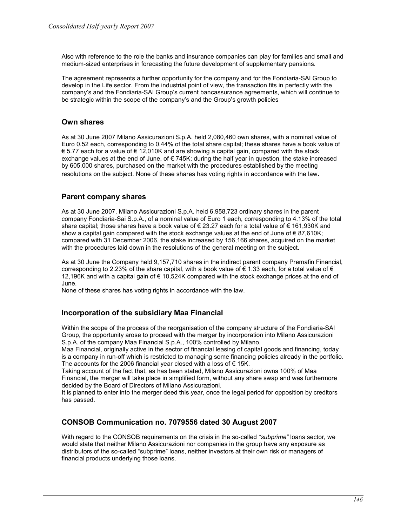Also with reference to the role the banks and insurance companies can play for families and small and medium-sized enterprises in forecasting the future development of supplementary pensions.

The agreement represents a further opportunity for the company and for the Fondiaria-SAI Group to develop in the Life sector. From the industrial point of view, the transaction fits in perfectly with the company's and the Fondiaria-SAI Group's current bancassurance agreements, which will continue to be strategic within the scope of the company's and the Group's growth policies

## Own shares

As at 30 June 2007 Milano Assicurazioni S.p.A. held 2,080,460 own shares, with a nominal value of Euro 0.52 each, corresponding to 0.44% of the total share capital; these shares have a book value of  $€$  5.77 each for a value of  $€$  12,010K and are showing a capital gain, compared with the stock exchange values at the end of June, of  $\epsilon$  745K; during the half year in question, the stake increased by 605,000 shares, purchased on the market with the procedures established by the meeting resolutions on the subject. None of these shares has voting rights in accordance with the law.

# Parent company shares

As at 30 June 2007, Milano Assicurazioni S.p.A. held 6,958,723 ordinary shares in the parent company Fondiaria-Sai S.p.A., of a nominal value of Euro 1 each, corresponding to 4.13% of the total share capital; those shares have a book value of € 23.27 each for a total value of € 161,930K and show a capital gain compared with the stock exchange values at the end of June of  $\epsilon$  87,610K; compared with 31 December 2006, the stake increased by 156,166 shares, acquired on the market with the procedures laid down in the resolutions of the general meeting on the subject.

As at 30 June the Company held 9,157,710 shares in the indirect parent company Premafin Financial, corresponding to 2.23% of the share capital, with a book value of  $\epsilon$  1.33 each, for a total value of  $\epsilon$ 12,196K and with a capital gain of € 10,524K compared with the stock exchange prices at the end of June.

None of these shares has voting rights in accordance with the law.

# Incorporation of the subsidiary Maa Financial

Within the scope of the process of the reorganisation of the company structure of the Fondiaria-SAI Group, the opportunity arose to proceed with the merger by incorporation into Milano Assicurazioni S.p.A. of the company Maa Financial S.p.A., 100% controlled by Milano.

Maa Financial, originally active in the sector of financial leasing of capital goods and financing, today is a company in run-off which is restricted to managing some financing policies already in the portfolio. The accounts for the 2006 financial year closed with a loss of  $\epsilon$  15K.

Taking account of the fact that, as has been stated, Milano Assicurazioni owns 100% of Maa Financial, the merger will take place in simplified form, without any share swap and was furthermore decided by the Board of Directors of Milano Assicurazioni.

It is planned to enter into the merger deed this year, once the legal period for opposition by creditors has passed.

# CONSOB Communication no. 7079556 dated 30 August 2007

With regard to the CONSOB requirements on the crisis in the so-called "subprime" loans sector, we would state that neither Milano Assicurazioni nor companies in the group have any exposure as distributors of the so-called "subprime" loans, neither investors at their own risk or managers of financial products underlying those loans.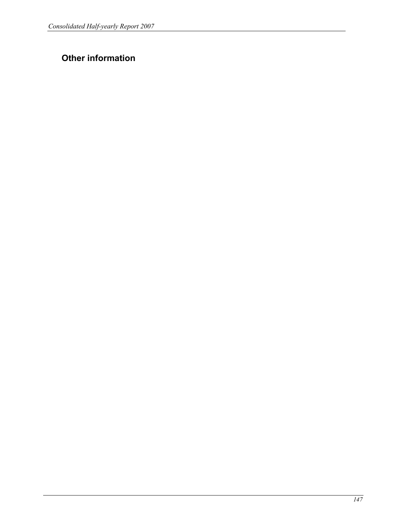# Other information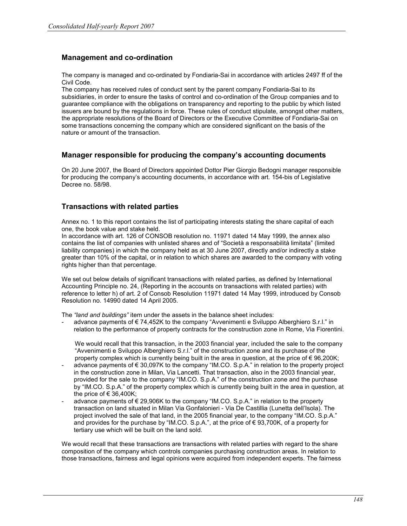# Management and co-ordination

The company is managed and co-ordinated by Fondiaria-Sai in accordance with articles 2497 ff of the Civil Code.

The company has received rules of conduct sent by the parent company Fondiaria-Sai to its subsidiaries, in order to ensure the tasks of control and co-ordination of the Group companies and to guarantee compliance with the obligations on transparency and reporting to the public by which listed issuers are bound by the regulations in force. These rules of conduct stipulate, amongst other matters, the appropriate resolutions of the Board of Directors or the Executive Committee of Fondiaria-Sai on some transactions concerning the company which are considered significant on the basis of the nature or amount of the transaction.

#### Manager responsible for producing the company's accounting documents

On 20 June 2007, the Board of Directors appointed Dottor Pier Giorgio Bedogni manager responsible for producing the company's accounting documents, in accordance with art. 154-bis of Legislative Decree no. 58/98.

## Transactions with related parties

Annex no. 1 to this report contains the list of participating interests stating the share capital of each one, the book value and stake held.

In accordance with art. 126 of CONSOB resolution no. 11971 dated 14 May 1999, the annex also contains the list of companies with unlisted shares and of "Società a responsabilità limitata" (limited liability companies) in which the company held as at 30 June 2007, directly and/or indirectly a stake greater than 10% of the capital, or in relation to which shares are awarded to the company with voting rights higher than that percentage.

We set out below details of significant transactions with related parties, as defined by International Accounting Principle no. 24, (Reporting in the accounts on transactions with related parties) with reference to letter h) of art. 2 of Consob Resolution 11971 dated 14 May 1999, introduced by Consob Resolution no. 14990 dated 14 April 2005.

The "land and buildings" item under the assets in the balance sheet includes:

advance payments of €74,452K to the company "Avvenimenti e Sviluppo Alberghiero S.r.l." in relation to the performance of property contracts for the construction zone in Rome, Via Fiorentini.

We would recall that this transaction, in the 2003 financial year, included the sale to the company "Avvenimenti e Sviluppo Alberghiero S.r.l." of the construction zone and its purchase of the property complex which is currently being built in the area in question, at the price of € 96,200K;

- advance payments of € 30,097K to the company "IM.CO. S.p.A." in relation to the property project in the construction zone in Milan, Via Lancetti. That transaction, also in the 2003 financial year, provided for the sale to the company "IM.CO. S.p.A." of the construction zone and the purchase by "IM.CO. S.p.A." of the property complex which is currently being built in the area in question, at the price of  $\in$  36,400K;
- advance payments of  $\epsilon$  29,906K to the company "IM.CO. S.p.A." in relation to the property transaction on land situated in Milan Via Gonfalonieri - Via De Castillia (Lunetta dell'Isola). The project involved the sale of that land, in the 2005 financial year, to the company "IM.CO. S.p.A." and provides for the purchase by "IM.CO. S.p.A.", at the price of  $\epsilon$  93,700K, of a property for tertiary use which will be built on the land sold.

We would recall that these transactions are transactions with related parties with regard to the share composition of the company which controls companies purchasing construction areas. In relation to those transactions, fairness and legal opinions were acquired from independent experts. The fairness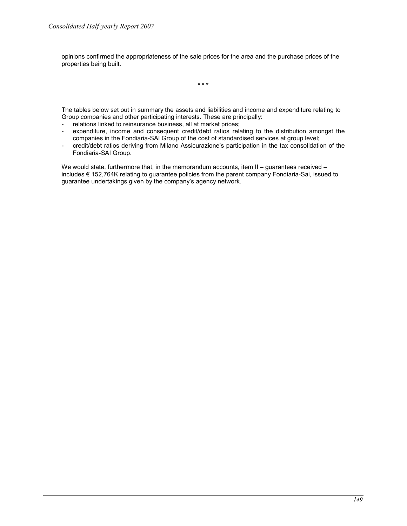opinions confirmed the appropriateness of the sale prices for the area and the purchase prices of the properties being built.

\* \* \*

The tables below set out in summary the assets and liabilities and income and expenditure relating to Group companies and other participating interests. These are principally:

- relations linked to reinsurance business, all at market prices;
- expenditure, income and consequent credit/debt ratios relating to the distribution amongst the companies in the Fondiaria-SAI Group of the cost of standardised services at group level;
- credit/debt ratios deriving from Milano Assicurazione's participation in the tax consolidation of the Fondiaria-SAI Group.

We would state, furthermore that, in the memorandum accounts, item II – guarantees received – includes € 152,764K relating to guarantee policies from the parent company Fondiaria-Sai, issued to guarantee undertakings given by the company's agency network.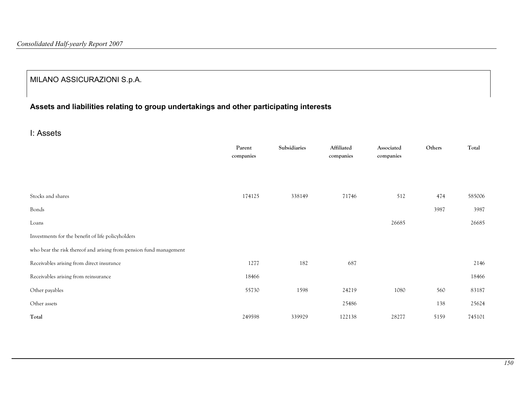# MILANO ASSICURAZIONI S.p.A.

# Assets and liabilities relating to group undertakings and other participating interests

I: Assets

|                                                                    | Parent<br>companies | Subsidiaries | Affiliated<br>companies | Associated<br>companies | Others | Total  |
|--------------------------------------------------------------------|---------------------|--------------|-------------------------|-------------------------|--------|--------|
|                                                                    |                     |              |                         |                         |        |        |
| Stocks and shares                                                  | 174125              | 338149       | 71746                   | 512                     | 474    | 585006 |
| Bonds                                                              |                     |              |                         |                         | 3987   | 3987   |
| Loans                                                              |                     |              |                         | 26685                   |        | 26685  |
| Investments for the benefit of life policyholders                  |                     |              |                         |                         |        |        |
| who bear the risk thereof and arising from pension fund management |                     |              |                         |                         |        |        |
| Receivables arising from direct insurance                          | 1277                | 182          | 687                     |                         |        | 2146   |
| Receivables arising from reinsurance                               | 18466               |              |                         |                         |        | 18466  |
| Other payables                                                     | 55730               | 1598         | 24219                   | 1080                    | 560    | 83187  |
| Other assets                                                       |                     |              | 25486                   |                         | 138    | 25624  |
| Total                                                              | 249598              | 339929       | 122138                  | 28277                   | 5159   | 745101 |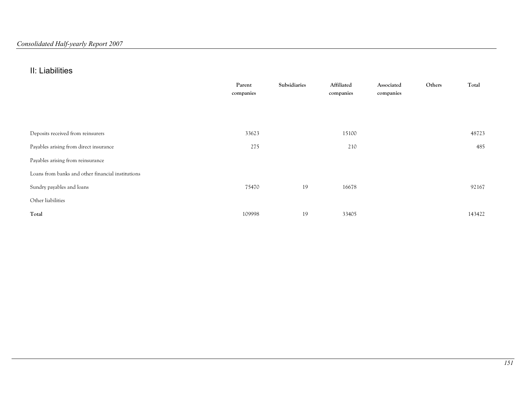# II: Liabilities

|                                                   | Parent<br>companies | Subsidiaries | Affiliated<br>companies | Associated<br>companies | Others | Total  |
|---------------------------------------------------|---------------------|--------------|-------------------------|-------------------------|--------|--------|
|                                                   |                     |              |                         |                         |        |        |
|                                                   |                     |              |                         |                         |        |        |
| Deposits received from reinsurers                 | 33623               |              | 15100                   |                         |        | 48723  |
| Payables arising from direct insurance            | 275                 |              | 210                     |                         |        | 485    |
| Payables arising from reinsurance                 |                     |              |                         |                         |        |        |
| Loans from banks and other financial institutions |                     |              |                         |                         |        |        |
| Sundry payables and loans                         | 75470               | 19           | 16678                   |                         |        | 92167  |
| Other liabilities                                 |                     |              |                         |                         |        |        |
| Total                                             | 109998              | 19           | 33405                   |                         |        | 143422 |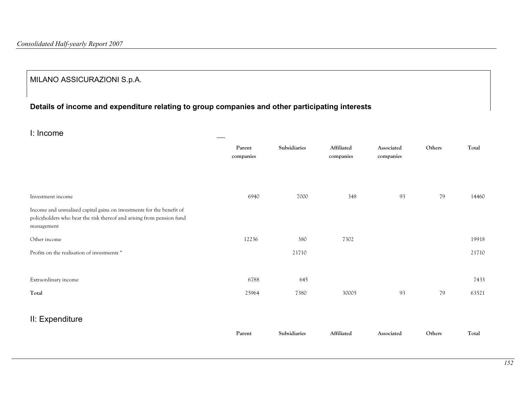# MILANO ASSICURAZIONI S.p.A.

# Details of income and expenditure relating to group companies and other participating interests

I: Income

| -----------                                                                                                                                                  |                     |              |                         |                         |        |       |
|--------------------------------------------------------------------------------------------------------------------------------------------------------------|---------------------|--------------|-------------------------|-------------------------|--------|-------|
|                                                                                                                                                              | Parent<br>companies | Subsidiaries | Affiliated<br>companies | Associated<br>companies | Others | Total |
| Investment income                                                                                                                                            | 6940                | 7000         | 348                     | 93                      | 79     | 14460 |
| Income and unrealised capital gains on investments for the benefit of<br>policyholders who bear the risk thereof and arising from pension fund<br>management |                     |              |                         |                         |        |       |
| Other income                                                                                                                                                 | 12236               | 380          | 7302                    |                         |        | 19918 |
| Profits on the realisation of investments *                                                                                                                  |                     | 21710        |                         |                         |        | 21710 |
|                                                                                                                                                              |                     |              |                         |                         |        |       |
| Extraordinary income                                                                                                                                         | 6788                | 645          |                         |                         |        | 7433  |
| Total                                                                                                                                                        | 25964               | 7380         | 30005                   | 93                      | 79     | 63521 |
| II: Expenditure                                                                                                                                              |                     |              |                         |                         |        |       |
|                                                                                                                                                              | Parent              | Subsidiaries | Affiliated              | Associated              | Others | Total |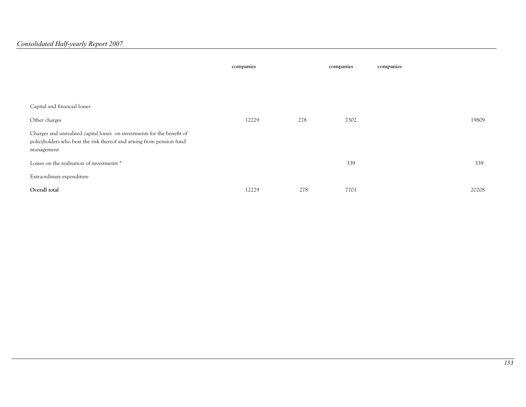|                                                                                                                                                                | companies |     | companies | companies |       |
|----------------------------------------------------------------------------------------------------------------------------------------------------------------|-----------|-----|-----------|-----------|-------|
|                                                                                                                                                                |           |     |           |           |       |
| Capital and financial losses                                                                                                                                   |           |     |           |           |       |
| Other charges                                                                                                                                                  | 12229     | 278 | 7302      |           | 19809 |
| Charges and unrealised capital losses on investments for the benefit of<br>policyholders who bear the risk thereof and arising from pension fund<br>management |           |     |           |           |       |
| Losses on the realisation of investments *                                                                                                                     |           |     | 339       |           | 339   |
| Extraordinary expenditure                                                                                                                                      |           |     |           |           |       |
| Overall total                                                                                                                                                  | 12229     | 278 | 7701      |           | 20208 |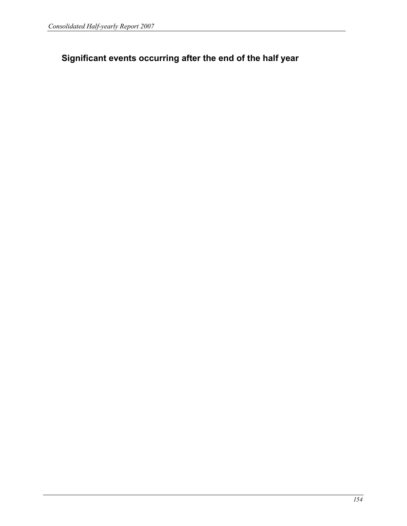Significant events occurring after the end of the half year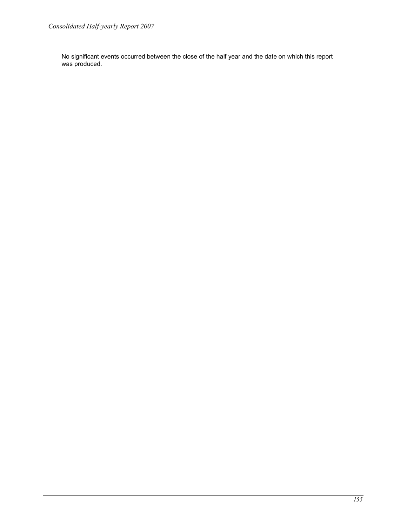No significant events occurred between the close of the half year and the date on which this report was produced.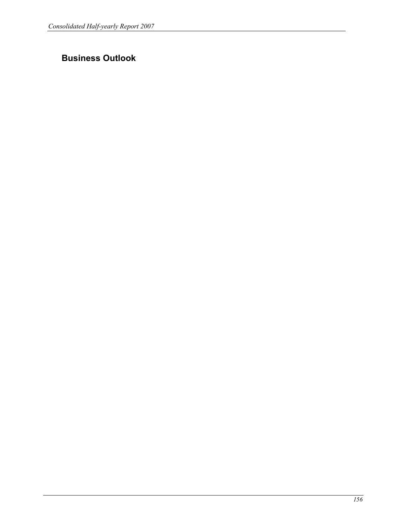# Business Outlook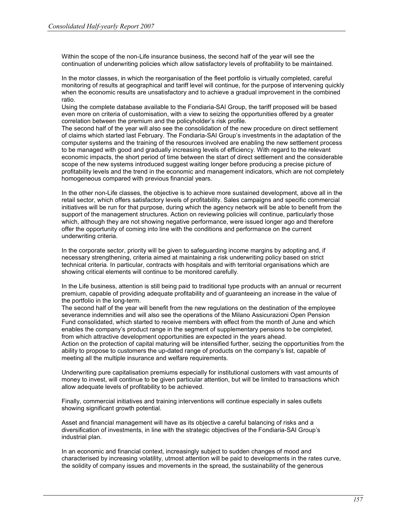Within the scope of the non-Life insurance business, the second half of the year will see the continuation of underwriting policies which allow satisfactory levels of profitability to be maintained.

In the motor classes, in which the reorganisation of the fleet portfolio is virtually completed, careful monitoring of results at geographical and tariff level will continue, for the purpose of intervening quickly when the economic results are unsatisfactory and to achieve a gradual improvement in the combined ratio.

Using the complete database available to the Fondiaria-SAI Group, the tariff proposed will be based even more on criteria of customisation, with a view to seizing the opportunities offered by a greater correlation between the premium and the policyholder's risk profile.

The second half of the year will also see the consolidation of the new procedure on direct settlement of claims which started last February. The Fondiaria-SAI Group's investments in the adaptation of the computer systems and the training of the resources involved are enabling the new settlement process to be managed with good and gradually increasing levels of efficiency. With regard to the relevant economic impacts, the short period of time between the start of direct settlement and the considerable scope of the new systems introduced suggest waiting longer before producing a precise picture of profitability levels and the trend in the economic and management indicators, which are not completely homogeneous compared with previous financial years.

In the other non-Life classes, the objective is to achieve more sustained development, above all in the retail sector, which offers satisfactory levels of profitability. Sales campaigns and specific commercial initiatives will be run for that purpose, during which the agency network will be able to benefit from the support of the management structures. Action on reviewing policies will continue, particularly those which, although they are not showing negative performance, were issued longer ago and therefore offer the opportunity of coming into line with the conditions and performance on the current underwriting criteria.

In the corporate sector, priority will be given to safeguarding income margins by adopting and, if necessary strengthening, criteria aimed at maintaining a risk underwriting policy based on strict technical criteria. In particular, contracts with hospitals and with territorial organisations which are showing critical elements will continue to be monitored carefully.

In the Life business, attention is still being paid to traditional type products with an annual or recurrent premium, capable of providing adequate profitability and of guaranteeing an increase in the value of the portfolio in the long-term.

The second half of the year will benefit from the new regulations on the destination of the employee severance indemnities and will also see the operations of the Milano Assicurazioni Open Pension Fund consolidated, which started to receive members with effect from the month of June and which enables the company's product range in the segment of supplementary pensions to be completed, from which attractive development opportunities are expected in the years ahead.

Action on the protection of capital maturing will be intensified further, seizing the opportunities from the ability to propose to customers the up-dated range of products on the company's list, capable of meeting all the multiple insurance and welfare requirements.

Underwriting pure capitalisation premiums especially for institutional customers with vast amounts of money to invest, will continue to be given particular attention, but will be limited to transactions which allow adequate levels of profitability to be achieved.

Finally, commercial initiatives and training interventions will continue especially in sales outlets showing significant growth potential.

Asset and financial management will have as its objective a careful balancing of risks and a diversification of investments, in line with the strategic objectives of the Fondiaria-SAI Group's industrial plan.

In an economic and financial context, increasingly subject to sudden changes of mood and characterised by increasing volatility, utmost attention will be paid to developments in the rates curve, the solidity of company issues and movements in the spread, the sustainability of the generous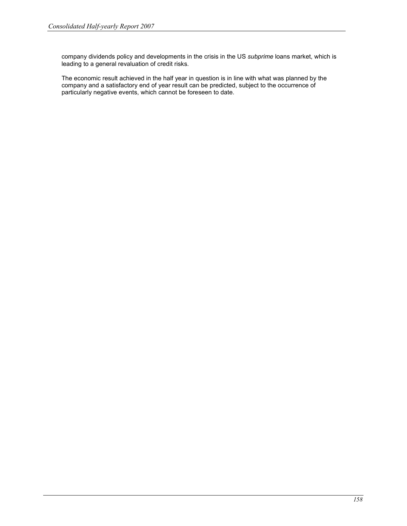company dividends policy and developments in the crisis in the US subprime loans market, which is leading to a general revaluation of credit risks.

The economic result achieved in the half year in question is in line with what was planned by the company and a satisfactory end of year result can be predicted, subject to the occurrence of particularly negative events, which cannot be foreseen to date.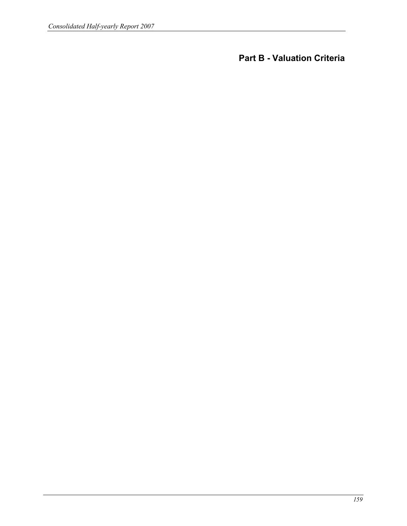Part B - Valuation Criteria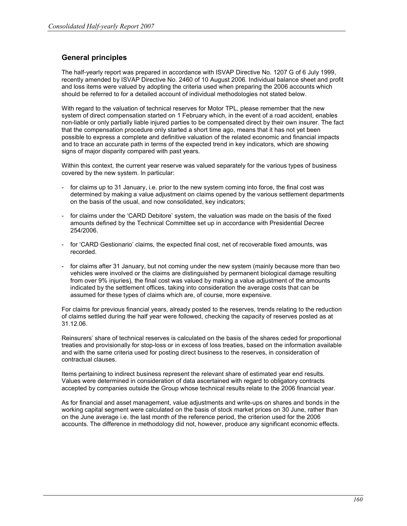# General principles

The half-yearly report was prepared in accordance with ISVAP Directive No. 1207 G of 6 July 1999, recently amended by ISVAP Directive No. 2460 of 10 August 2006. Individual balance sheet and profit and loss items were valued by adopting the criteria used when preparing the 2006 accounts which should be referred to for a detailed account of individual methodologies not stated below.

With regard to the valuation of technical reserves for Motor TPL, please remember that the new system of direct compensation started on 1 February which, in the event of a road accident, enables non-liable or only partially liable injured parties to be compensated direct by their own insurer. The fact that the compensation procedure only started a short time ago, means that it has not yet been possible to express a complete and definitive valuation of the related economic and financial impacts and to trace an accurate path in terms of the expected trend in key indicators, which are showing signs of major disparity compared with past years.

Within this context, the current year reserve was valued separately for the various types of business covered by the new system. In particular:

- for claims up to 31 January, i.e. prior to the new system coming into force, the final cost was determined by making a value adjustment on claims opened by the various settlement departments on the basis of the usual, and now consolidated, key indicators;
- for claims under the 'CARD Debitore' system, the valuation was made on the basis of the fixed amounts defined by the Technical Committee set up in accordance with Presidential Decree 254/2006.
- for 'CARD Gestionario' claims, the expected final cost, net of recoverable fixed amounts, was recorded.
- for claims after 31 January, but not coming under the new system (mainly because more than two vehicles were involved or the claims are distinguished by permanent biological damage resulting from over 9% injuries), the final cost was valued by making a value adjustment of the amounts indicated by the settlement offices, taking into consideration the average costs that can be assumed for these types of claims which are, of course, more expensive.

For claims for previous financial years, already posted to the reserves, trends relating to the reduction of claims settled during the half year were followed, checking the capacity of reserves posted as at 31.12.06.

Reinsurers' share of technical reserves is calculated on the basis of the shares ceded for proportional treaties and provisionally for stop-loss or in excess of loss treaties, based on the information available and with the same criteria used for posting direct business to the reserves, in consideration of contractual clauses.

Items pertaining to indirect business represent the relevant share of estimated year end results. Values were determined in consideration of data ascertained with regard to obligatory contracts accepted by companies outside the Group whose technical results relate to the 2006 financial year.

As for financial and asset management, value adjustments and write-ups on shares and bonds in the working capital segment were calculated on the basis of stock market prices on 30 June, rather than on the June average i.e. the last month of the reference period, the criterion used for the 2006 accounts. The difference in methodology did not, however, produce any significant economic effects.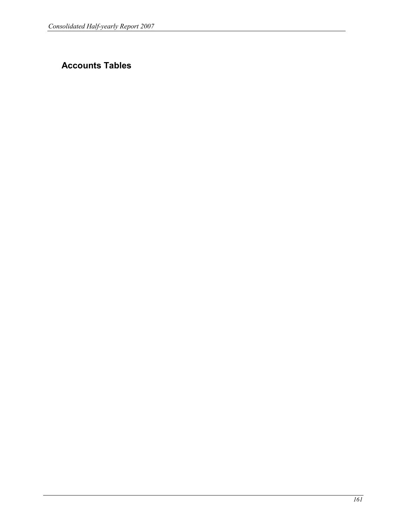# Accounts Tables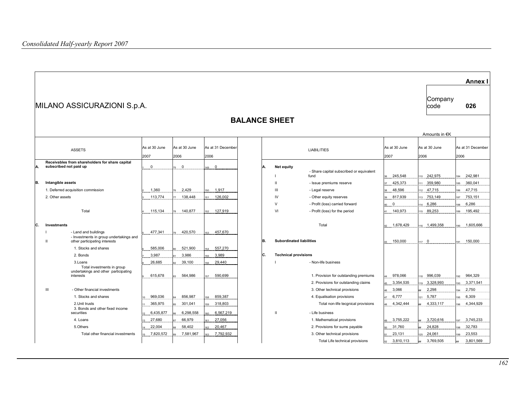|     |                                                                                                       |                       |                       |                           |                      |                      |                                                  |                           |                        | <b>Annex I</b>            |
|-----|-------------------------------------------------------------------------------------------------------|-----------------------|-----------------------|---------------------------|----------------------|----------------------|--------------------------------------------------|---------------------------|------------------------|---------------------------|
|     | Company<br>MILANO ASSICURAZIONI S.p.A.<br>code                                                        |                       |                       |                           |                      |                      |                                                  |                           |                        | 026                       |
|     |                                                                                                       |                       |                       |                           | <b>BALANCE SHEET</b> |                      |                                                  |                           |                        |                           |
|     |                                                                                                       |                       |                       |                           |                      |                      |                                                  |                           | Amounts in €K          |                           |
|     | <b>ASSETS</b>                                                                                         | As at 30 June<br>2007 | As at 30 June<br>2006 | As at 31 December<br>2006 |                      |                      | <b>LIABILITIES</b>                               | As at 30 June<br>2007     | As at 30 June<br>2006  | As at 31 December<br>2006 |
| İA. | Receivables from shareholders for share capital<br>subscribed not paid up                             | $\mathbf 0$           | $\mathbf 0$           | $\overline{0}$<br>149     | А.                   | Net equity           | - Share capital subscribed or equivalent<br>fund | 245,548                   | 10 242,975             | 242.981<br>184            |
| B.  | Intangible assets                                                                                     |                       |                       |                           |                      | $\mathbf{H}$         | - Issue premiums reserve                         | 425,373                   | 359,980                | 360,041<br>85             |
|     | 1. Deferred acquisition commission<br>2. Other assets                                                 | 1,360                 | 2,429<br>138,448      | 1.917<br>126,002          |                      | $\mathbf{III}$<br>IV | - Legal reserve<br>- Other equity reserves       | 48,596                    | 47,715                 | 47,715<br>86<br>753,151   |
|     |                                                                                                       | 113,774               |                       |                           |                      | $\vee$               | - Profit (loss) carried forward                  | 817,939<br>$\overline{0}$ | 13 753,149<br>14 6,286 | 187<br>6,286<br>188       |
|     | Total                                                                                                 | 115,134               | 140,877               | 127,919                   |                      | VI                   | - Profit (loss) for the period                   | 140,973                   | 15 89,253              | 195,492<br>189            |
| lc. | Investments                                                                                           |                       |                       |                           |                      |                      | Total                                            | 1.678.429                 | 1,6 1,499,358          | 190 1.605.666             |
|     | - Land and buildings<br>- Investments in group undertakings and<br>other participating interests<br>Ш | 477,341               | 420,570               | 457,670                   | IB.                  |                      | <b>Subordinated liabilities</b>                  | 150,000<br>43.            | 117 0                  | 150,000<br>191            |
|     | 1. Stocks and shares                                                                                  | 585,006               | 521,900               | 557,270                   |                      |                      |                                                  |                           |                        |                           |
|     | 2. Bonds                                                                                              | 3,987                 | 3,986                 | 3,989                     | C.                   |                      | <b>Technical provisions</b>                      |                           |                        |                           |
|     | 3.Loans<br>Total investments in group                                                                 | 26,685                | 39,100                | 29,440                    |                      |                      | - Non-life business                              |                           |                        |                           |
|     | undertakings and other participating<br>interests                                                     | 615,678               | 564,986               | 590,699                   |                      |                      | 1. Provision for outstanding premiums            | 978,066                   | 18 996,039             | 964.329<br>192            |
|     |                                                                                                       |                       |                       |                           |                      |                      | 2. Provisions for outstanding claims             | 3,354,535                 | 19 3,328,993           | 3,371,541<br>193          |
|     | Ш<br>- Other financial investments                                                                    |                       |                       |                           |                      |                      | 3. Other technical provisions                    | 3,066                     | 2,298                  | 2,750<br>194              |
|     | 1. Stocks and shares                                                                                  | 969,036               | 856,987               | 859,387                   |                      |                      | 4. Equalisation provisions                       | 6,777                     | 21 5,787               | 6,309<br>195              |
|     | 2. Unit trusts<br>3. Bonds and other fixed income                                                     | 365,975               | 301,041               | 318,803                   |                      |                      | Total non-life tecgnical provisions              | 4,342,444                 | 4,333,117              | 4,344,929<br>96           |
|     | securities                                                                                            | 6,435,877             | 6,298,558             | 6,567,219                 |                      | $\mathbf{H}$         | - Life business                                  |                           |                        |                           |
|     | 4. Loans                                                                                              | 27,680                | 66,979                | 27,056                    |                      |                      | 1. Mathematical provisions                       | 3,755,222                 | 3,720,616              | 3.745.233<br>197          |
|     | 5.Others                                                                                              | 22,004                | 58,402                | 20,467                    |                      |                      | 2. Provisions for sums payable                   | 31,760                    | 24,828                 | 32,783<br>198             |
|     | Total other financial investments                                                                     | 7,820,572             | 7,581,967             | 7,792,932                 |                      |                      | 3. Other technical provisions                    | 23,131                    | 24,061                 | 23,553<br>199             |
|     |                                                                                                       |                       |                       |                           |                      |                      | Total Life technical provisions                  | 3,810,113                 | 3,769,505              | 3,801,569                 |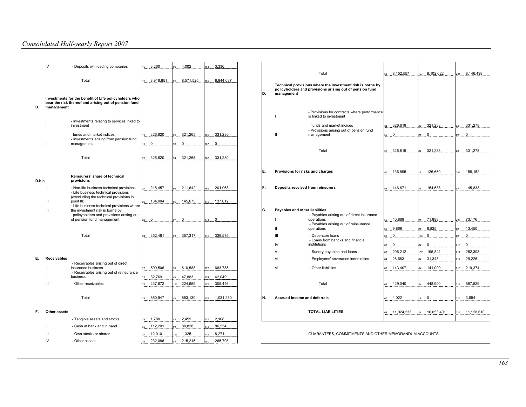|       | IV                 | - Deposits with ceding companies                                                                               | 3,260        | 4,002         | 3,336        |    |                                                                                                                                      |                   |                                |                   |
|-------|--------------------|----------------------------------------------------------------------------------------------------------------|--------------|---------------|--------------|----|--------------------------------------------------------------------------------------------------------------------------------------|-------------------|--------------------------------|-------------------|
|       |                    |                                                                                                                |              |               |              |    | Total                                                                                                                                | 8,152,557<br>53   | 127 8,102,622                  | 8,146,498<br>201  |
|       |                    | Total                                                                                                          | 8,916,851    | 8,571,525     | 8,844,637    |    |                                                                                                                                      |                   |                                |                   |
|       |                    |                                                                                                                |              |               |              | D. | Technical provisions where the investment risk is borne by<br>policyholders and provisions arising out of pension fund<br>management |                   |                                |                   |
|       |                    | Investments for the benefit of Life policyholders who<br>bear the risk thereof and arising out of pension fund |              |               |              |    |                                                                                                                                      |                   |                                |                   |
| D.    | management         |                                                                                                                |              |               |              |    | - Provisions for contracts where performance                                                                                         |                   |                                |                   |
|       |                    |                                                                                                                |              |               |              |    | is linked to investment                                                                                                              |                   |                                |                   |
|       |                    | - Investments relating to services Inked to<br>investment                                                      |              |               |              |    | funds and market indices                                                                                                             | 326,619           | 321,233                        | 331,278           |
|       |                    |                                                                                                                |              |               |              |    | - Provisions arising out of pension fund                                                                                             |                   |                                |                   |
|       |                    | funds and market indices<br>- Investments arising from pension fund                                            | 326,620      | 321,265<br>92 | 331,280      |    | ш<br>management                                                                                                                      | $\mathbf 0$<br>55 | $\mathbf 0$<br>##              | $\mathbf{0}$      |
|       | $\mathbf{H}$       | management                                                                                                     | $19$ 0       | $\mathbf 0$   | 67 0         |    |                                                                                                                                      |                   |                                |                   |
|       |                    |                                                                                                                |              |               |              |    | Total                                                                                                                                | 326,619           | 321,233                        | 331,278           |
|       |                    | Total                                                                                                          | 326,620      | 321,265       | 331,280      |    |                                                                                                                                      |                   |                                |                   |
|       |                    |                                                                                                                |              |               |              |    |                                                                                                                                      |                   |                                |                   |
|       |                    | Reinsurers' share of technical                                                                                 |              |               |              | E. | Provisions for risks and charges                                                                                                     | 136,895           | 126,650<br>131                 | 158,152           |
| D.bis |                    | provisions                                                                                                     |              |               |              |    |                                                                                                                                      |                   |                                |                   |
|       |                    | - Non-life business technical provisions                                                                       | 218,457      | 211,642       | 201,963      | F. | Deposits received from reinsurers                                                                                                    | 146,671           | 154,638<br>##                  | 145,833           |
|       |                    | - Life business technical provisions<br>(exccluding the technical provisions in                                |              |               |              |    |                                                                                                                                      |                   |                                |                   |
|       | $\mathbf{I}$       | point III)                                                                                                     | 134,004      | 145.675       | 137,612      |    |                                                                                                                                      |                   |                                |                   |
|       | $\mathbf{III}$     | - Life business technical provisions where<br>the investment risk is borne by                                  |              |               |              | G. | Payables and other liabilities                                                                                                       |                   |                                |                   |
|       |                    | policyholders and provisions arising out<br>of pension fund management                                         | $\mathbf{0}$ | $\mathbf 0$   | $\mathbf{0}$ |    | - Payables arising out of direct insurance<br>operations                                                                             | 40,869            | 71,883                         | 73,176<br>207     |
|       |                    |                                                                                                                |              |               |              |    | - Payables arising out of reinsurance                                                                                                |                   |                                |                   |
|       |                    |                                                                                                                |              |               |              |    | operations<br>Ш                                                                                                                      | 9,869             | 8,825                          | 13,450            |
|       |                    | Total                                                                                                          | 352,461      | 357.317       | 339.575      |    | III<br>- Debenture loans<br>- Loans from bancks and financial                                                                        | $\mathbf 0$       | $\mathbf 0$<br>35 <sup>5</sup> | $\mathbf{0}$      |
|       |                    |                                                                                                                |              |               |              |    | IV<br>institutions                                                                                                                   | $\mathbf 0$       | $\mathbf 0$<br>##              | $\mathbf 0$<br>10 |
|       |                    |                                                                                                                |              |               |              |    | $\vee$<br>- Sundry payables and loans                                                                                                | 206,212           | 195,844<br>37                  | 252,303<br>211    |
| IE.   | <b>Receivables</b> | - Receivables arising out of direct                                                                            |              |               |              |    | VI<br>- Employees' severance indemnities                                                                                             | 28.683            | 31,348                         | 29.226            |
|       |                    | insurance business                                                                                             | 590,506      | 610,588       | 683,785      |    | VII<br>- Other liabilities                                                                                                           | 143,407           | 141,000<br>##                  | 213 219,374       |
|       | ш                  | - Receivables arising out of reinsurance<br>business                                                           | 32,769       | 47,883        | 42,049       |    |                                                                                                                                      |                   |                                |                   |
|       | $\mathbf{III}$     | - Other receivables                                                                                            | 237,672      | 224,659       | 305,446      |    | Total                                                                                                                                | 429,040           | 448.900                        | 587,529           |
|       |                    |                                                                                                                |              |               |              |    |                                                                                                                                      |                   |                                |                   |
|       |                    | Total                                                                                                          | 860,947      | 883,130       | 1,031,280    | Н. | Accrued income and deferrals                                                                                                         | 4,022             | $141 \ 0$                      | 3,654<br>15       |
|       |                    |                                                                                                                |              |               |              |    |                                                                                                                                      |                   |                                |                   |
| IF.   | Other assets       |                                                                                                                |              |               |              |    | <b>TOTAL LIABILITIES</b>                                                                                                             | 11,024,233        | 10,653,401                     | 216 11,128,610    |
|       |                    | - Tangible assets and stocks                                                                                   | 1,780        | 2,459         | 2,108        |    |                                                                                                                                      |                   |                                |                   |
|       | $\mathbf{H}$       | - Cash at bank and in hand                                                                                     | 112,201      | 80,828        | 86,534       |    |                                                                                                                                      |                   |                                |                   |
|       | $\mathbf{III}$     | - Own stocks or shares                                                                                         | 12,010       | 1,325         | 8,271        |    | GUARANTEES, COMMITMENTS AND OTHER MEMORANDUM ACCOUNTS                                                                                |                   |                                |                   |
|       | IV                 | - Other assets                                                                                                 | 232,086      | 215,215       | 265,798      |    |                                                                                                                                      |                   |                                |                   |
|       |                    |                                                                                                                |              |               |              |    |                                                                                                                                      |                   |                                |                   |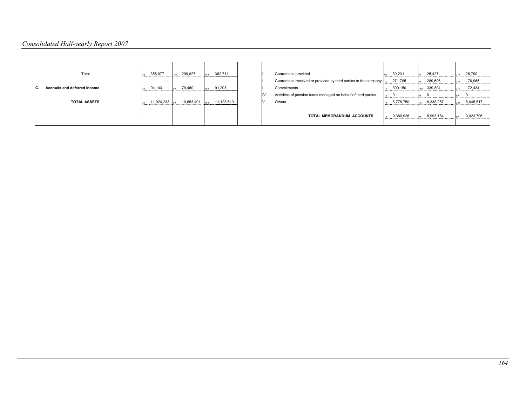| Total                        | 358,077<br>33         | 299,827<br>107  | 362,711           |                                                                    | Guarantees provided                                            | 30,231               | 25,427<br>$44 + 44$ | 28,790           |
|------------------------------|-----------------------|-----------------|-------------------|--------------------------------------------------------------------|----------------------------------------------------------------|----------------------|---------------------|------------------|
|                              |                       |                 |                   | Guarantees received or provided by third parties to the company 70 | 271,795                                                        | 289,696<br>$44 + 44$ | 176,965             |                  |
| Accruals and deferred income | 94,143<br>34          | 79.460<br># # # | 91,208            |                                                                    | Commitments                                                    | 300,150              | 339,804<br>145      | 172,434<br>219   |
|                              |                       |                 |                   | IV.                                                                | Activities of pension funds managed on behalf of third parties | 0<br>72<br>          | ##                  |                  |
| <b>TOTAL ASSETS</b>          | $11,024,233$ ##<br>35 | 10,653,401      | 11,128,610<br>183 |                                                                    | Others                                                         | 8,778,750<br>73      | 8,338,257<br>147    | 8,645,517<br>221 |
|                              |                       |                 |                   |                                                                    | <b>TOTAL MEMORANDUM ACCOUNTS</b>                               | 9,380,926            | 8,993,184<br>##     | 9,023,706        |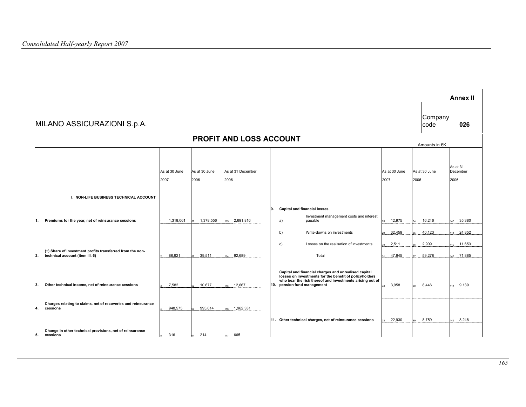$\blacksquare$ 

|    |                                                                                              |                       |                       |                                |                                                                                                                                                                                                                                       |                       | <b>Annex II</b>                |
|----|----------------------------------------------------------------------------------------------|-----------------------|-----------------------|--------------------------------|---------------------------------------------------------------------------------------------------------------------------------------------------------------------------------------------------------------------------------------|-----------------------|--------------------------------|
|    | MILANO ASSICURAZIONI S.p.A.                                                                  |                       |                       |                                |                                                                                                                                                                                                                                       | Company<br>code       | 026                            |
|    |                                                                                              |                       |                       | <b>PROFIT AND LOSS ACCOUNT</b> |                                                                                                                                                                                                                                       | Amounts in €K         |                                |
|    |                                                                                              | As at 30 June<br>2007 | As at 30 June<br>2006 | As at 31 December<br>2006      | As at 30 June<br>2007                                                                                                                                                                                                                 | As at 30 June<br>2006 | As at 31<br>December<br>2006   |
|    | I. NON-LIFE BUSINESS TECHNICAL ACCOUNT                                                       |                       |                       |                                |                                                                                                                                                                                                                                       |                       |                                |
| 1. | Premiums for the year, net of reinsurance cessions                                           | 1,318,061             | 1,378,556             | 113 2,691,816                  | 9.<br><b>Capital and financial losses</b><br>Investment management costs and interest<br>12,975<br>a)<br>pauable<br>32,459<br>b)<br>Write-downs on investments                                                                        | 16,246<br>40,123      | 35,380<br>140<br>24,852<br>141 |
| 2. | (+) Share of investment profits transferred from the non-<br>technical account (item III. 6) | 86.921                | 39,511                | 114 92,689                     | Losses on the realisation of investments<br>2,511<br>c)<br>Total<br>47,945                                                                                                                                                            | 2,909<br>59,278       | 11,653<br>142<br>143 71,885    |
| 3. | Other technical income, net of reinsurance cessions                                          | 7,582                 | 10,677                | 15 12,667                      | Capital and financial charges and unrealised capital<br>losses on investments for the benefit of policyholders<br>who bear the risk thereof and investments arising out of<br>10. pension fund management<br>3.958<br>32 <sup>°</sup> | 8.446                 | 9,139<br>144                   |
| 4. | Charges relating to claims, net of recoveries and reinsurance<br>cessions                    | 948,575               | 995,614               | 116 1,962,331                  | 11. Other technical charges, net of reinsurance cessions<br>22,930                                                                                                                                                                    | 8,759                 | 8,248<br>145                   |
| 5. | Change in other technical provisions, net of reinsurance<br>cessions                         | 316                   | 214                   | 665<br>117                     |                                                                                                                                                                                                                                       |                       |                                |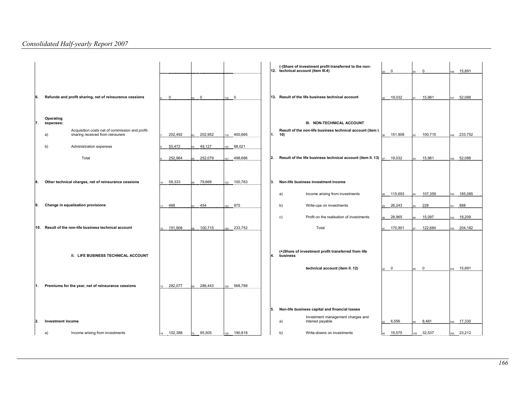|     |                                                                                                                     |             |             |                                |     | (-)Share of investment profit transferred to the non-<br>12. technical account (item III.4)       | $\mathbf 0$ | $\mathbf 0$ | 15,891<br>146  |
|-----|---------------------------------------------------------------------------------------------------------------------|-------------|-------------|--------------------------------|-----|---------------------------------------------------------------------------------------------------|-------------|-------------|----------------|
| 6.  | Refunds and profit sharing, net of reinsurance cessions                                                             | $\mathbf 0$ | $\mathbf 0$ | $\overline{\mathbf{0}}$<br>118 |     | 13. Result of the life business technical account                                                 | 19,032      | 15,981      | 52,088<br>147  |
| 17. | Operating<br>expenses:<br>Acquisition costs net of commission and profit-<br>sharing received from reinsurers<br>a) | 202,492     | 202,952     | 400,665                        |     | III. NON-TECHNICAL ACCOUNT<br>Result of the non-life business technical account (item I.<br>1. 10 | 151,908     | 100,715     | 233,752<br>148 |
|     | b)<br>Administration expenses                                                                                       | 50,472      | 49,127      | 98,021                         |     |                                                                                                   |             |             |                |
|     | Total                                                                                                               | 252,964     | 252,079     | 498,686                        | 12. | Result of the life business technical account (item II. 13)                                       | 19,032      | 15,981      | 52,088<br>149  |
| 18. | Other technical charges, net of reinsurance cessions                                                                | 58,333      | 79,668      | 100,763<br>$122 -$             | ΙЗ. | Non-life business investment income                                                               |             |             |                |
|     |                                                                                                                     |             |             |                                |     | Income arising from investments<br>a)                                                             | 115,693     | 107,359     | 185,085<br>150 |
| 9.  | Change in equalisation provisions                                                                                   | 468         | 454         | 975                            |     | b)<br>Write-ups on investments                                                                    | 26,243      | 228         | 888<br>151     |
|     |                                                                                                                     |             |             |                                |     | Profit on the realisation of investments<br>c)                                                    | 28,965      | 15,097      | 18,209<br>152  |
|     | 10. Result of the non-life business technical account                                                               | 151,908     | 100,715     | 124 233,752                    |     | Total                                                                                             | 170,901     | 122,684     | 204,182<br>153 |
|     | II. LIFE BUSINESS TECHNICAL ACCOUNT                                                                                 |             |             |                                | 4.  | (+)Share of investment profit transferred from life<br>business                                   |             |             |                |
|     |                                                                                                                     |             |             |                                |     | technical account (item II. 12)                                                                   | $\mathbf 0$ | $\mathbf 0$ | 15,891<br>154  |
|     | Premiums for the year, net of reinsurance cessions                                                                  | 282,077     | 286,443     | 568,789<br>$125 -$             |     |                                                                                                   |             |             |                |
|     |                                                                                                                     |             |             |                                | 5.  | Non-life business capital and financial losses                                                    |             |             |                |
| 12. | Investment income                                                                                                   |             |             |                                |     | Investment management charges and<br>interest payable<br>a)                                       | 6,556       | 8,481       | 17,330<br>155  |
|     | Income arising from investments<br>a)                                                                               | 102,388     | 95,505      | 190,818                        |     | b)<br>Write-downs on investments                                                                  | 19,575      | 32,537      | 23,212<br>156  |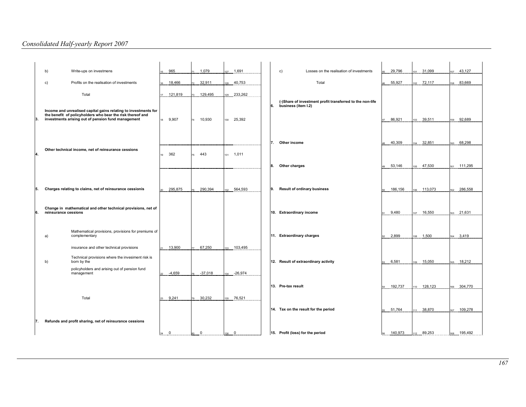|     | Write-ups on investmens<br>b)                                                                                                                                                       | 965<br>15         | 1,079        | 1,691<br>27   | Losses on the realisation of investments<br>c)            | 29,796      | 31,099<br>101  | 43,127<br>157     |
|-----|-------------------------------------------------------------------------------------------------------------------------------------------------------------------------------------|-------------------|--------------|---------------|-----------------------------------------------------------|-------------|----------------|-------------------|
|     | Profits on the realisation of investments<br>c)                                                                                                                                     | 18,466<br>16      | 32,911       | 28 40,753     | Total                                                     | 55,927      | 102 72,117     | 83,669<br>158     |
|     | Total                                                                                                                                                                               | 121,819<br>17     | 129,495      | 233,262<br>29 |                                                           |             |                |                   |
|     |                                                                                                                                                                                     |                   |              |               | (-)Share of investment profit transferred to the non-life |             |                |                   |
| 3.  | Income and unrealised capital gains relating to investments for<br>the benefit of policyholders who bear the risk thereof and<br>investments arising out of pension fund management | 9,907<br>18       | 10,930<br>74 | 130 25,392    | 6.<br>business (item I.2)                                 | 86,921      | 39,511<br>103  | 92,689<br>$150 -$ |
|     |                                                                                                                                                                                     |                   |              |               |                                                           |             |                |                   |
|     | Other technical income, net of reinsurance cessions                                                                                                                                 |                   |              |               | Other income<br>7                                         | 40,309      | 104 32,851     | 68,298<br>160     |
| 14. |                                                                                                                                                                                     | 362<br>19         | 443<br>75    | 1,011         |                                                           |             |                |                   |
|     |                                                                                                                                                                                     |                   |              |               | Other charges<br>8.                                       | 53,146      | 105 47,530     | 111,295<br>161    |
|     |                                                                                                                                                                                     |                   |              |               |                                                           |             |                |                   |
| 55. | Charges relating to claims, net of reinsurance cessionis                                                                                                                            | 295,875<br>$20 -$ | 290,394      | 564,593<br>32 | <b>Result of ordinary business</b><br>9.                  | 186,156     | 113,073<br>106 | 286,558<br>162    |
|     |                                                                                                                                                                                     |                   |              |               |                                                           |             |                |                   |
| 16. | Change in mathematical and other technical provisions, net of<br>reinsurance cessions                                                                                               |                   |              |               | 10. Extraordinary income                                  | 9,480       | 16,550<br>107  | 21,631<br>163     |
|     |                                                                                                                                                                                     |                   |              |               |                                                           |             |                |                   |
|     | Mathematical provisions, provisions for premiums of<br>complementary<br>a)                                                                                                          |                   |              |               | 11. Extraordinary charges                                 | 2,899       | 1,500<br>108   | 164 3,419         |
|     | insurance and other technical provisions                                                                                                                                            | 13,900            | 67,250       | 103,495       |                                                           |             |                |                   |
|     | Technical provisions where the invesiment risk is<br>born by the<br>b)                                                                                                              |                   |              |               | 12. Result of extraordinary activity                      | 6,581<br>53 | 15,050<br>109  | 18,212<br>165     |
|     | policyholders and arising out of pension fund<br>management                                                                                                                         | $-4,659$          | $-37,018$    | $-26,974$     |                                                           |             |                |                   |
|     |                                                                                                                                                                                     |                   |              |               | 13. Pre-tax result                                        | 192,737     | 128,123<br>110 | 304,770<br>166    |
|     | Total                                                                                                                                                                               | 9,241<br>23       | 30,232       | 135 76,521    |                                                           |             |                |                   |
|     |                                                                                                                                                                                     |                   |              |               | 14. Tax on the result for the period                      | 51,764      | 38,870         | 109,278           |
|     |                                                                                                                                                                                     |                   |              |               |                                                           | 55          | 111            | 167               |
| 7.  | Refunds and profit sharing, net of reinsurance cessions                                                                                                                             |                   |              |               |                                                           |             |                |                   |
|     |                                                                                                                                                                                     | $\mathbf 0$<br>24 | $\Omega$     | $\mathbf{0}$  | 15. Profit (loss) for the period                          | 140,973     | 89,253<br>112  | 195,492<br>168    |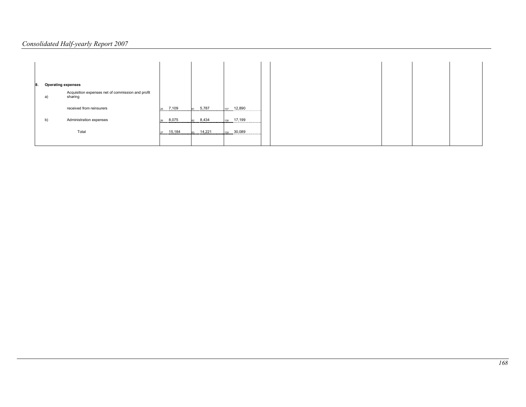| <b>Operating expenses</b><br>8. |                                                              |                  |                      |                                |  |
|---------------------------------|--------------------------------------------------------------|------------------|----------------------|--------------------------------|--|
| a)                              | Acquisition expenses net of commission and profit<br>sharing |                  |                      |                                |  |
|                                 | received from reinsurers                                     | 7,109<br>つら      | $\frac{31}{1}$ 5,787 | 137 12,890                     |  |
| b)                              | Administration expenses                                      | 8,075<br>26<br>. | 8,434<br>.           | 17,199<br>138<br><br>          |  |
|                                 | Total                                                        | 15,184<br>27     | 14,221<br>           | 30,089<br>139<br><br>--------- |  |
|                                 |                                                              |                  |                      |                                |  |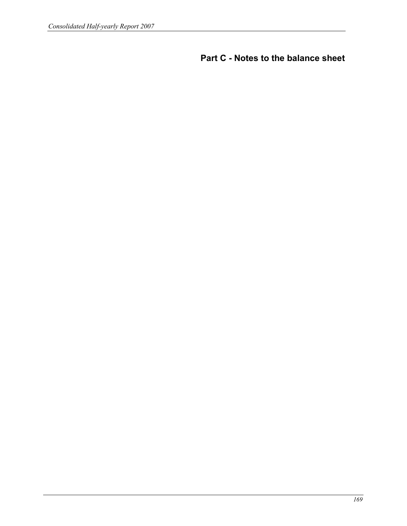Part C - Notes to the balance sheet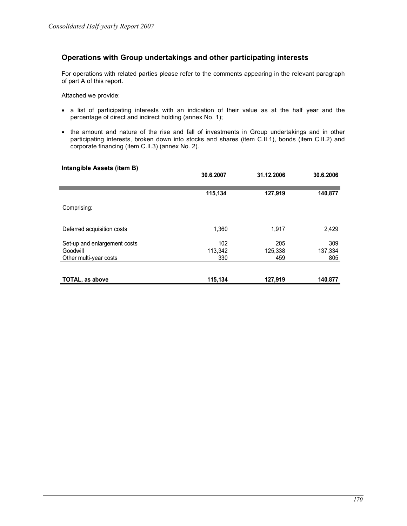# Operations with Group undertakings and other participating interests

For operations with related parties please refer to the comments appearing in the relevant paragraph of part A of this report.

Attached we provide:

- a list of participating interests with an indication of their value as at the half year and the percentage of direct and indirect holding (annex No. 1);
- the amount and nature of the rise and fall of investments in Group undertakings and in other participating interests, broken down into stocks and shares (item C.II.1), bonds (item C.II.2) and corporate financing (item C.II.3) (annex No. 2).

#### Intangible Assets (item B)

|                                                                    | 30.6.2007             | 31.12.2006            | 30.6.2006             |
|--------------------------------------------------------------------|-----------------------|-----------------------|-----------------------|
|                                                                    | 115,134               | 127,919               | 140,877               |
| Comprising:                                                        |                       |                       |                       |
| Deferred acquisition costs                                         | 1,360                 | 1,917                 | 2,429                 |
| Set-up and enlargement costs<br>Goodwill<br>Other multi-year costs | 102<br>113,342<br>330 | 205<br>125,338<br>459 | 309<br>137,334<br>805 |
| <b>TOTAL, as above</b>                                             | 115,134               | 127,919               | 140,877               |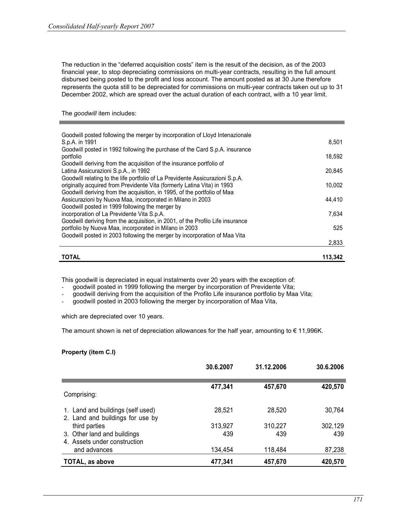The reduction in the "deferred acquisition costs" item is the result of the decision, as of the 2003 financial year, to stop depreciating commissions on multi-year contracts, resulting in the full amount disbursed being posted to the profit and loss account. The amount posted as at 30 June therefore represents the quota still to be depreciated for commissions on multi-year contracts taken out up to 31 December 2002, which are spread over the actual duration of each contract, with a 10 year limit.

## The goodwill item includes:

| Goodwill posted following the merger by incorporation of Lloyd Intenazionale<br>S.p.A. in 1991                        | 8,501   |
|-----------------------------------------------------------------------------------------------------------------------|---------|
| Goodwill posted in 1992 following the purchase of the Card S.p.A. insurance                                           |         |
| portfolio                                                                                                             | 18,592  |
| Goodwill deriving from the acquisition of the insurance portfolio of                                                  |         |
| Latina Assicurazioni S.p.A., in 1992<br>Goodwill relating to the life portfolio of La Previdente Assicurazioni S.p.A. | 20.845  |
| originally acquired from Previdente Vita (formerly Latina Vita) in 1993                                               | 10,002  |
| Goodwill deriving from the acquisition, in 1995, of the portfolio of Maa                                              |         |
| Assicurazioni by Nuova Maa, incorporated in Milano in 2003                                                            | 44,410  |
| Goodwill posted in 1999 following the merger by<br>incorporation of La Previdente Vita S.p.A.                         | 7,634   |
| Goodwill deriving from the acquisition, in 2001, of the Profilo Life insurance                                        |         |
| portfolio by Nuova Maa, incorporated in Milano in 2003                                                                | 525     |
| Goodwill posted in 2003 following the merger by incorporation of Maa Vita                                             |         |
|                                                                                                                       | 2,833   |
| <b>TOTAL</b>                                                                                                          | 113,342 |

This goodwill is depreciated in equal instalments over 20 years with the exception of:

- goodwill posted in 1999 following the merger by incorporation of Previdente Vita;

- goodwill deriving from the acquisition of the Profilo Life insurance portfolio by Maa Vita;

goodwill posted in 2003 following the merger by incorporation of Maa Vita,

which are depreciated over 10 years.

The amount shown is net of depreciation allowances for the half year, amounting to  $\epsilon$  11,996K.

# Property (item C.I)

|                                                                       | 30.6.2007 | 31.12.2006 | 30.6.2006 |
|-----------------------------------------------------------------------|-----------|------------|-----------|
| Comprising:                                                           | 477,341   | 457,670    | 420,570   |
| 1. Land and buildings (self used)<br>2. Land and buildings for use by | 28,521    | 28,520     | 30,764    |
| third parties                                                         | 313,927   | 310,227    | 302,129   |
| 3. Other land and buildings<br>4. Assets under construction           | 439       | 439        | 439       |
| and advances                                                          | 134,454   | 118,484    | 87,238    |
| <b>TOTAL, as above</b>                                                | 477,341   | 457,670    | 420,570   |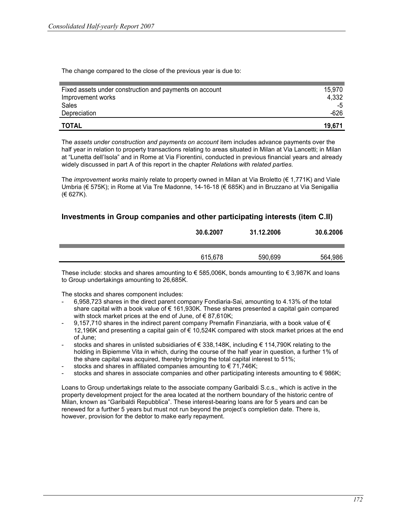The change compared to the close of the previous year is due to:

| <b>TOTAL</b>                                            | 19.671 |
|---------------------------------------------------------|--------|
| Depreciation                                            | -626   |
| Sales                                                   | -5     |
| Improvement works                                       | 4,332  |
| Fixed assets under construction and payments on account | 15.970 |
|                                                         |        |

The assets under construction and payments on account item includes advance payments over the half year in relation to property transactions relating to areas situated in Milan at Via Lancetti; in Milan at "Lunetta dell'Isola" and in Rome at Via Fiorentini, conducted in previous financial years and already widely discussed in part A of this report in the chapter Relations with related parties.

The *improvement works* mainly relate to property owned in Milan at Via Broletto ( $\epsilon$  1,771K) and Viale Umbria (€ 575K); in Rome at Via Tre Madonne, 14-16-18 (€ 685K) and in Bruzzano at Via Senigallia (€ 627K).

# Investments in Group companies and other participating interests (item C.II)

| 30.6.2007 | 31.12.2006 | 30.6.2006 |
|-----------|------------|-----------|
| 615,678   | 590,699    | 564.986   |

These include: stocks and shares amounting to  $\epsilon$  585,006K, bonds amounting to  $\epsilon$  3,987K and loans to Group undertakings amounting to 26,685K.

The stocks and shares component includes:

- 6,958,723 shares in the direct parent company Fondiaria-Sai, amounting to 4.13% of the total share capital with a book value of € 161,930K. These shares presented a capital gain compared with stock market prices at the end of June, of  $\epsilon$  87,610K;
- 9.157,710 shares in the indirect parent company Premafin Finanziaria, with a book value of  $\epsilon$ 12,196K and presenting a capital gain of € 10,524K compared with stock market prices at the end of June;
- stocks and shares in unlisted subsidiaries of € 338,148K, including € 114,790K relating to the holding in Bipiemme Vita in which, during the course of the half year in question, a further 1% of the share capital was acquired, thereby bringing the total capital interest to 51%;
- stocks and shares in affiliated companies amounting to  $\epsilon$  71,746K;
- stocks and shares in associate companies and other participating interests amounting to  $\epsilon$  986K;

Loans to Group undertakings relate to the associate company Garibaldi S.c.s., which is active in the property development project for the area located at the northern boundary of the historic centre of Milan, known as "Garibaldi Repubblica". These interest-bearing loans are for 5 years and can be renewed for a further 5 years but must not run beyond the project's completion date. There is, however, provision for the debtor to make early repayment.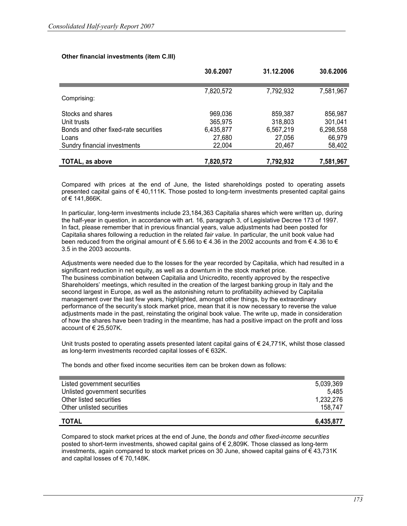|                                       | 30.6.2007 | 31.12.2006 | 30.6.2006 |
|---------------------------------------|-----------|------------|-----------|
|                                       | 7,820,572 | 7,792,932  | 7,581,967 |
| Comprising:                           |           |            |           |
| Stocks and shares                     | 969,036   | 859,387    | 856,987   |
| Unit trusts                           | 365,975   | 318,803    | 301,041   |
| Bonds and other fixed-rate securities | 6,435,877 | 6,567,219  | 6,298,558 |
| Loans                                 | 27,680    | 27,056     | 66,979    |
| Sundry financial investments          | 22,004    | 20,467     | 58,402    |
| TOTAL, as above                       | 7,820,572 | 7,792,932  | 7,581,967 |

## Other financial investments (item C.III)

Compared with prices at the end of June, the listed shareholdings posted to operating assets presented capital gains of € 40,111K. Those posted to long-term investments presented capital gains  $of € 141.866K.$ 

In particular, long-term investments include 23,184,363 Capitalia shares which were written up, during the half-year in question, in accordance with art. 16, paragraph 3, of Legislative Decree 173 of 1997. In fact, please remember that in previous financial years, value adjustments had been posted for Capitalia shares following a reduction in the related fair value. In particular, the unit book value had been reduced from the original amount of  $\epsilon$  5.66 to  $\epsilon$  4.36 in the 2002 accounts and from  $\epsilon$  4.36 to  $\epsilon$ 3.5 in the 2003 accounts.

Adjustments were needed due to the losses for the year recorded by Capitalia, which had resulted in a significant reduction in net equity, as well as a downturn in the stock market price. The business combination between Capitalia and Unicredito, recently approved by the respective Shareholders' meetings, which resulted in the creation of the largest banking group in Italy and the second largest in Europe, as well as the astonishing return to profitability achieved by Capitalia management over the last few years, highlighted, amongst other things, by the extraordinary performance of the security's stock market price, mean that it is now necessary to reverse the value adjustments made in the past, reinstating the original book value. The write up, made in consideration of how the shares have been trading in the meantime, has had a positive impact on the profit and loss account of  $\in$  25.507K.

Unit trusts posted to operating assets presented latent capital gains of  $\epsilon$  24,771K, whilst those classed as long-term investments recorded capital losses of € 632K.

The bonds and other fixed income securities item can be broken down as follows:

| Other unlisted securities      | 158.747   |
|--------------------------------|-----------|
| Other listed securities        | 1,232,276 |
| Unlisted government securities | 5.485     |
| Listed government securities   | 5,039,369 |
|                                |           |

#### $\blacksquare$  and  $\blacksquare$  . Total for  $\blacksquare$  and  $\blacksquare$  and  $\blacksquare$  . The set of  $\blacksquare$  and  $\blacksquare$  . The set of  $\blacksquare$  and  $\blacksquare$  and  $\blacksquare$  and  $\blacksquare$  and  $\blacksquare$  and  $\blacksquare$  and  $\blacksquare$  and  $\blacksquare$  and  $\blacksquare$  and  $\blacksquare$  and  $\blacksquare$  a

Compared to stock market prices at the end of June, the bonds and other fixed-income securities posted to short-term investments, showed capital gains of  $\epsilon$  2,809K. Those classed as long-term investments, again compared to stock market prices on 30 June, showed capital gains of  $\epsilon$  43,731K and capital losses of  $\epsilon$  70,148K.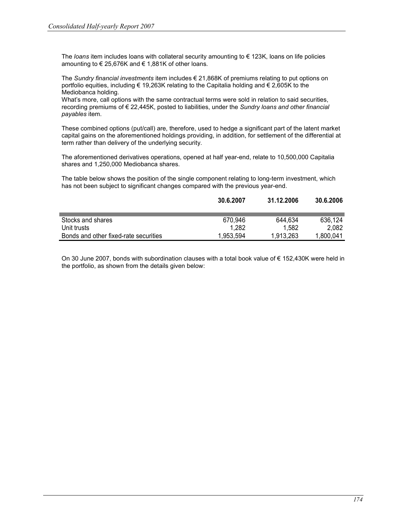The *loans* item includes loans with collateral security amounting to  $\epsilon$  123K, loans on life policies amounting to € 25,676K and € 1,881K of other loans.

The Sundry financial investments item includes  $\epsilon$  21,868K of premiums relating to put options on portfolio equities, including € 19,263K relating to the Capitalia holding and € 2,605K to the Mediobanca holding.

What's more, call options with the same contractual terms were sold in relation to said securities, recording premiums of  $\epsilon$  22,445K, posted to liabilities, under the Sundry loans and other financial payables item.

These combined options (put/call) are, therefore, used to hedge a significant part of the latent market capital gains on the aforementioned holdings providing, in addition, for settlement of the differential at term rather than delivery of the underlying security.

The aforementioned derivatives operations, opened at half year-end, relate to 10,500,000 Capitalia shares and 1,250,000 Mediobanca shares.

The table below shows the position of the single component relating to long-term investment, which has not been subject to significant changes compared with the previous year-end.

|                                       | 30.6.2007 | 31.12.2006 | 30.6.2006 |
|---------------------------------------|-----------|------------|-----------|
|                                       |           |            |           |
| Stocks and shares                     | 670.946   | 644.634    | 636.124   |
| Unit trusts                           | 1.282     | 1.582      | 2.082     |
| Bonds and other fixed-rate securities | 1.953.594 | 1.913.263  | 1.800.041 |

On 30 June 2007, bonds with subordination clauses with a total book value of € 152,430K were held in the portfolio, as shown from the details given below: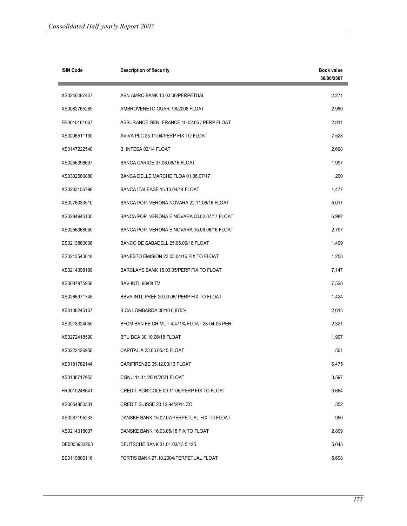| <b>ISIN Code</b> | <b>Description of Security</b>               | <b>Book value</b><br>30/06/2007 |
|------------------|----------------------------------------------|---------------------------------|
| XS0246487457     | ABN AMRO BANK 10.03.06/PERPETUAL             | 2,271                           |
| XS0082765289     | AMBROVENETO GUAR, 98/2008 FLOAT              | 2,980                           |
| FR0010161067     | ASSURANCE GEN. FRANCE 10.02.05 / PERP FLOAT  | 2,811                           |
| XS0206511130     | AVIVA PLC 25.11.04/PERP FIX TO FLOAT         | 7,528                           |
| XS0147222540     | B. INTESA 02/14 FLOAT                        | 2,668                           |
| XS0256396697     | BANCA CARIGE 07.06.06/16 FLOAT               | 1,997                           |
| XS0302580880     | BANCA DELLE MARCHE FLOA 01.06.07/17          | 200                             |
| XS0203156798     | BANCA ITALEASE 15.10.04/14 FLOAT             | 1,477                           |
| XS0276033510     | BANCA POP. VERONA NOVARA 22.11.06/16 FLOAT   | 5,017                           |
| XS0284945135     | BANCA POP. VERONA E NOVARA 08.02.07/17 FLOAT | 6,982                           |
| XS0256368050     | BANCA POP. VERONA E NOVARA 15.06.06/16 FLOAT | 2,797                           |
| ES0213860036     | BANCO DE SABADELL 25.05.06/16 FLOAT          | 1,499                           |
| ES0213540018     | BANESTO EMISION 23.03.04/16 FIX TO FLOAT     | 1,258                           |
| XS0214398199     | BARCLAYS BANK 15.03.05/PERP FIX TO FLOAT     | 7,147                           |
| XS0087975958     | BAV-INTL 98/08 TV                            | 7,528                           |
| XS0266971745     | BBVA INTL PREF 20.09.06/ PERP FIX TO FLOAT   | 1,424                           |
| XS0108245167     | B.CA LOMBARDA 00/10 6,875%                   | 2,613                           |
| XS0218324050     | BFCM BAN FE CR MUT 4,471% FLOAT 28-04-05 PER | 2,321                           |
| XS0272418590     | BPU BCA 30.10.06/18 FLOAT                    | 1,997                           |
| XS0222426958     | CAPITALIA 23.06.05/15 FLOAT                  | 501                             |
| XS0181782144     | CARIFIRENZE 05.12.03/13 FLOAT                | 6,475                           |
| XS0138717953     | CGNU 14.11.2001/2021 FLOAT                   | 3,597                           |
| FR0010248641     | CREDIT AGRICOLE 09.11.05/PERP FIX TO FLOAT   | 3,664                           |
| XS0054850531     | CREDIT SUISSE 20.12.94/2014 ZC               | 352                             |
| XS0287195233     | DANSKE BANK 15.02.07/PERPETUAL FIX TO FLOAT  | 950                             |
| XS0214318007     | DANSKE BANK 16.03.05/18 FIX TO FLOAT         | 2,809                           |
| DE0003933263     | DEUTSCHE BANK 31.01.03/13 5,125              | 5,045                           |
| BE0119806116     | FORTIS BANK 27.10.2004/PERPETUAL FLOAT       | 5,698                           |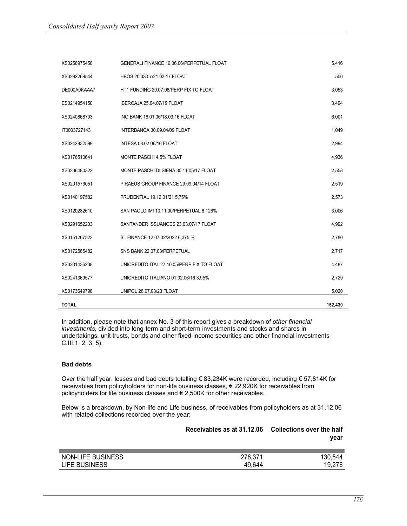| <b>TOTAL</b> |                                            | 152,430 |
|--------------|--------------------------------------------|---------|
| XS0173649798 | UNIPOL 28.07.03/23 FLOAT                   | 5,020   |
| XS0241369577 | UNICREDITO ITALIANO 01.02.06/16 3,95%      | 2,729   |
| XS0231436238 | UNICREDITO ITAL 27.10.05/PERP FIX TO FLOAT | 4,487   |
| XS0172565482 | SNS BANK 22.07.03/PERPETUAL                | 2,717   |
| XS0151267522 | SL FINANCE 12.07.02/2022 6,375 %           | 2,780   |
| XS0291652203 | SANTANDER ISSUANCES 23.03.07/17 FLOAT      | 4,992   |
| XS0120282610 | SAN PAOLO IMI 10.11.00/PERPETUAL 8,126%    | 3,006   |
| XS0140197582 | PRUDENTIAL 19.12.01/21 5,75%               | 2,573   |
| XS0201573051 | PIRAEUS GROUP FINANCE 29.09.04/14 FLOAT    | 2,519   |
| XS0236480322 | MONTE PASCHI DI SIENA 30.11.05/17 FLOAT    | 2,558   |
| XS0176510641 | MONTE PASCHI 4,5% FLOAT                    | 4,936   |
| XS0242832599 | <b>INTESA 08.02.06/16 FLOAT</b>            | 2,994   |
| IT0003727143 | INTERBANCA 30.09.04/09 FLOAT               | 1,049   |
| XS0240868793 | ING BANK 18.01.06/18.03.16 FLOAT           | 6,001   |
| ES0214954150 | <b>IBERCAJA 25.04.07/19 FLOAT</b>          | 3,494   |
| DE000A0KAAA7 | HT1 FUNDING 20.07.06/PERP FIX TO FLOAT     | 3,053   |
| XS0292269544 | HBOS 20.03.07/21.03.17 FLOAT               | 500     |
| XS0256975458 | GENERALI FINANCE 16.06.06/PERPETUAL FLOAT  | 5,416   |

In addition, please note that annex No. 3 of this report gives a breakdown of other financial investments, divided into long-term and short-term investments and stocks and shares in undertakings, unit trusts, bonds and other fixed-income securities and other financial investments C.III.1, 2, 3, 5).

## Bad debts

Over the half year, losses and bad debts totalling € 83,234K were recorded, including € 57,814K for receivables from policyholders for non-life business classes, € 22,920K for receivables from policyholders for life business classes and € 2,500K for other receivables.

Below is a breakdown, by Non-life and Life business, of receivables from policyholders as at 31.12.06 with related collections recorded over the year:

|                   | Receivables as at 31.12.06 Collections over the half |         |
|-------------------|------------------------------------------------------|---------|
| NON-LIFE BUSINESS | 276.371                                              | 130.544 |
| LIFE BUSINESS     | 49.644                                               | 19.278  |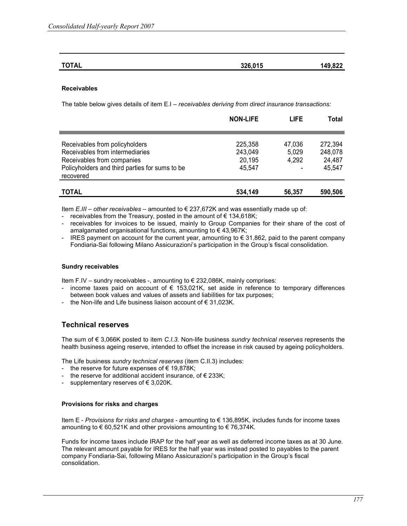| <b>TOTAL</b> | 326,015 | 149,822 |
|--------------|---------|---------|
|              |         |         |

#### Receivables

The table below gives details of item E.I – receivables deriving from direct insurance transactions:

|                                                | <b>NON-LIFE</b> | <b>LIFE</b> | Total   |
|------------------------------------------------|-----------------|-------------|---------|
|                                                |                 |             |         |
| Receivables from policyholders                 | 225,358         | 47,036      | 272,394 |
| Receivables from intermediaries                | 243,049         | 5,029       | 248,078 |
| Receivables from companies                     | 20,195          | 4,292       | 24,487  |
| Policyholders and third parties for sums to be | 45,547          |             | 45,547  |
| recovered                                      |                 |             |         |
|                                                |                 |             |         |
| <b>TOTAL</b>                                   | 534,149         | 56,357      | 590,506 |

Item  $E.III$  – other receivables – amounted to  $\in$  237,672K and was essentially made up of:

- receivables from the Treasury, posted in the amount of  $\epsilon$  134,618K;
- receivables for invoices to be issued, mainly to Group Companies for their share of the cost of amalgamated organisational functions, amounting to  $\epsilon$  43,967K;
- IRES payment on account for the current year, amounting to € 31,862, paid to the parent company Fondiaria-Sai following Milano Assicurazioni's participation in the Group's fiscal consolidation.

#### Sundry receivables

Item F.IV – sundry receivables -, amounting to € 232,086K, mainly comprises:

- income taxes paid on account of  $\epsilon$  153,021K, set aside in reference to temporary differences between book values and values of assets and liabilities for tax purposes;
- the Non-life and Life business liaison account of € 31,023K.

# Technical reserves

The sum of  $\epsilon$  3,066K posted to item C.I.3. Non-life business sundry technical reserves represents the health business ageing reserve, intended to offset the increase in risk caused by ageing policyholders.

The Life business sundry technical reserves (item C.II.3) includes:

- the reserve for future expenses of  $\epsilon$  19,878K;
- the reserve for additional accident insurance, of  $\epsilon$  233K;
- supplementary reserves of  $\epsilon$  3,020K.

#### Provisions for risks and charges

Item E - Provisions for risks and charges - amounting to € 136,895K, includes funds for income taxes amounting to  $\epsilon$  60,521K and other provisions amounting to  $\epsilon$  76,374K.

Funds for income taxes include IRAP for the half year as well as deferred income taxes as at 30 June. The relevant amount payable for IRES for the half year was instead posted to payables to the parent company Fondiaria-Sai, following Milano Assicurazioni's participation in the Group's fiscal consolidation.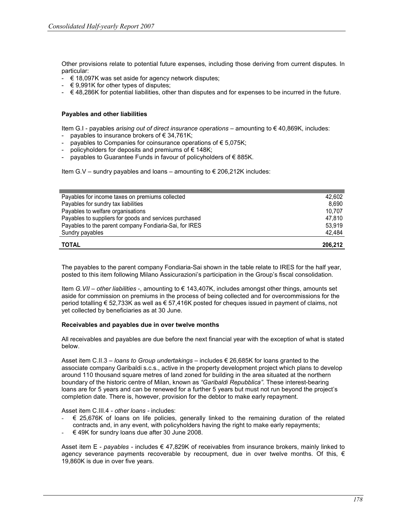Other provisions relate to potential future expenses, including those deriving from current disputes. In particular:

- $\epsilon$  18,097K was set aside for agency network disputes;
- $\div$   $\in$  9,991K for other types of disputes;
- $\epsilon$  48,286K for potential liabilities, other than disputes and for expenses to be incurred in the future.

#### Payables and other liabilities

Item G.I - payables arising out of direct insurance operations – amounting to € 40,869K, includes:

- payables to insurance brokers of  $\epsilon$  34,761K;
- payables to Companies for coinsurance operations of  $\epsilon$  5,075K;
- policyholders for deposits and premiums of  $\epsilon$  148K;
- payables to Guarantee Funds in favour of policyholders of €885K.

Item G.V – sundry payables and loans – amounting to  $\epsilon$  206,212K includes:

| Payables for income taxes on premiums collected        | 42.602  |
|--------------------------------------------------------|---------|
| Payables for sundry tax liabilities                    | 8.690   |
| Payables to welfare organisations                      | 10.707  |
| Payables to suppliers for goods and services purchased | 47.810  |
| Payables to the parent company Fondiaria-Sai, for IRES | 53.919  |
| Sundry payables                                        | 42,484  |
| <b>TOTAL</b>                                           | 206.212 |

The payables to the parent company Fondiaria-Sai shown in the table relate to IRES for the half year, posted to this item following Milano Assicurazioni's participation in the Group's fiscal consolidation.

Item G. VII – other liabilities -, amounting to  $\epsilon$  143,407K, includes amongst other things, amounts set aside for commission on premiums in the process of being collected and for overcommissions for the period totalling € 52,733K as well as € 57,416K posted for cheques issued in payment of claims, not yet collected by beneficiaries as at 30 June.

#### Receivables and payables due in over twelve months

All receivables and payables are due before the next financial year with the exception of what is stated below.

Asset item C.II.3 – loans to Group undertakings – includes  $\epsilon$  26,685K for loans granted to the associate company Garibaldi s.c.s., active in the property development project which plans to develop around 110 thousand square metres of land zoned for building in the area situated at the northern boundary of the historic centre of Milan, known as "Garibaldi Repubblica". These interest-bearing loans are for 5 years and can be renewed for a further 5 years but must not run beyond the project's completion date. There is, however, provision for the debtor to make early repayment.

Asset item C.III.4 - other loans - includes:

- € 25,676K of loans on life policies, generally linked to the remaining duration of the related contracts and, in any event, with policyholders having the right to make early repayments;
- $\div$   $\in$  49K for sundry loans due after 30 June 2008.

Asset item E - payables - includes  $\epsilon$  47,829K of receivables from insurance brokers, mainly linked to agency severance payments recoverable by recoupment, due in over twelve months. Of this,  $\epsilon$ 19,860K is due in over five years.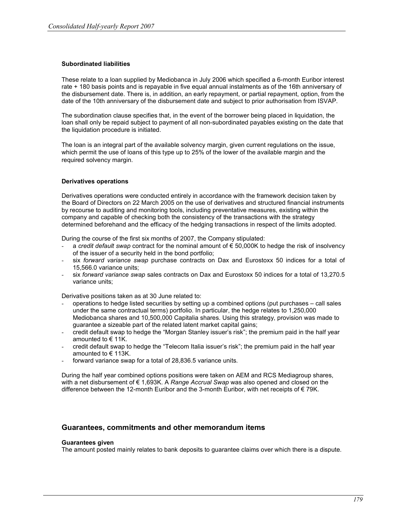## Subordinated liabilities

These relate to a loan supplied by Mediobanca in July 2006 which specified a 6-month Euribor interest rate + 180 basis points and is repayable in five equal annual instalments as of the 16th anniversary of the disbursement date. There is, in addition, an early repayment, or partial repayment, option, from the date of the 10th anniversary of the disbursement date and subject to prior authorisation from ISVAP.

The subordination clause specifies that, in the event of the borrower being placed in liquidation, the loan shall only be repaid subject to payment of all non-subordinated payables existing on the date that the liquidation procedure is initiated.

The loan is an integral part of the available solvency margin, given current regulations on the issue, which permit the use of loans of this type up to 25% of the lower of the available margin and the required solvency margin.

#### Derivatives operations

Derivatives operations were conducted entirely in accordance with the framework decision taken by the Board of Directors on 22 March 2005 on the use of derivatives and structured financial instruments by recourse to auditing and monitoring tools, including preventative measures, existing within the company and capable of checking both the consistency of the transactions with the strategy determined beforehand and the efficacy of the hedging transactions in respect of the limits adopted.

During the course of the first six months of 2007, the Company stipulated:

- a credit default swap contract for the nominal amount of  $\epsilon$  50,000K to hedge the risk of insolvency of the issuer of a security held in the bond portfolio;
- six forward variance swap purchase contracts on Dax and Eurostoxx 50 indices for a total of 15,566.0 variance units;
- six forward variance swap sales contracts on Dax and Eurostoxx 50 indices for a total of 13,270.5 variance units;

Derivative positions taken as at 30 June related to:

- operations to hedge listed securities by setting up a combined options (put purchases call sales under the same contractual terms) portfolio. In particular, the hedge relates to 1,250,000 Mediobanca shares and 10,500,000 Capitalia shares. Using this strategy, provision was made to guarantee a sizeable part of the related latent market capital gains;
- credit default swap to hedge the "Morgan Stanley issuer's risk"; the premium paid in the half year amounted to € 11K.
- credit default swap to hedge the "Telecom Italia issuer's risk"; the premium paid in the half year amounted to  $\in$  113K.
- forward variance swap for a total of 28,836.5 variance units.

During the half year combined options positions were taken on AEM and RCS Mediagroup shares, with a net disbursement of  $\epsilon$  1,693K. A Range Accrual Swap was also opened and closed on the difference between the 12-month Euribor and the 3-month Euribor, with net receipts of € 79K.

## Guarantees, commitments and other memorandum items

#### Guarantees given

The amount posted mainly relates to bank deposits to guarantee claims over which there is a dispute.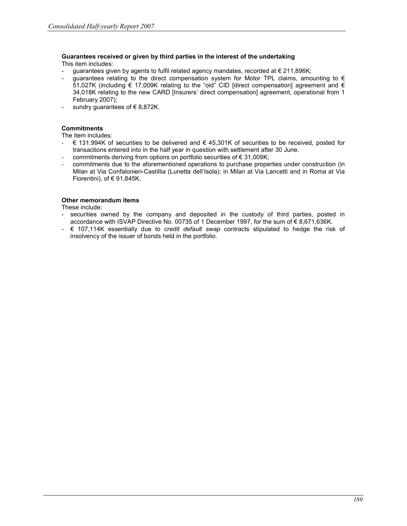#### Guarantees received or given by third parties in the interest of the undertaking This item includes:

- guarantees given by agents to fulfil related agency mandates, recorded at  $\epsilon$  211,896K;
- guarantees relating to the direct compensation system for Motor TPL claims, amounting to  $\epsilon$ 51,027K (including  $\epsilon$  17,009K relating to the "old" CID [direct compensation] agreement and  $\epsilon$ 34,018K relating to the new CARD [Insurers' direct compensation] agreement, operational from 1 February 2007);
- sundry guarantees of  $\in$  8,872K.

## **Commitments**

The item includes:

- € 131.994K of securities to be delivered and € 45,301K of securities to be received, posted for transactions entered into in the half year in question with settlement after 30 June.
- commitments deriving from options on portfolio securities of € 31,009K;
- commitments due to the aforementioned operations to purchase properties under construction (in Milan at Via Confalonieri-Castillia (Lunetta dell'Isola); in Milan at Via Lancetti and in Roma at Via Fiorentini), of € 91,845K.

## Other memorandum items

These include:

- securities owned by the company and deposited in the custody of third parties, posted in accordance with ISVAP Directive No. 00735 of 1 December 1997, for the sum of € 8,671,636K.
- $\epsilon$  107,114K essentially due to *credit default swap* contracts stipulated to hedge the risk of insolvency of the issuer of bonds held in the portfolio.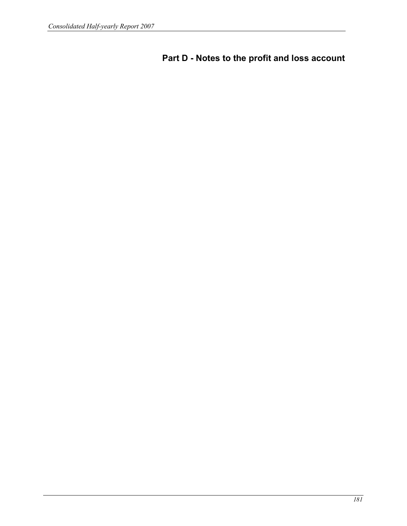# Part D - Notes to the profit and loss account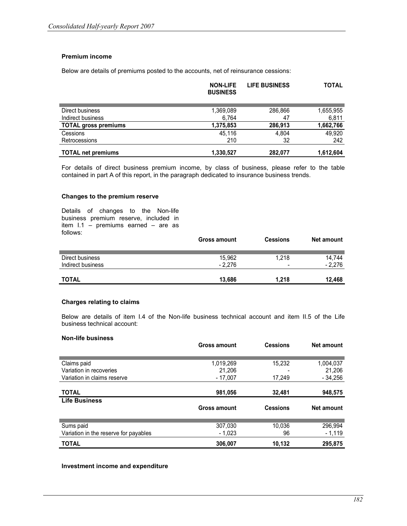## Premium income

Below are details of premiums posted to the accounts, net of reinsurance cessions:

|                             | <b>NON-LIFE</b><br><b>BUSINESS</b> | <b>LIFE BUSINESS</b> | <b>TOTAL</b> |
|-----------------------------|------------------------------------|----------------------|--------------|
|                             |                                    |                      |              |
| Direct business             | 1,369,089                          | 286,866              | 1,655,955    |
| Indirect business           | 6.764                              | 47                   | 6,811        |
| <b>TOTAL gross premiums</b> | 1,375,853                          | 286,913              | 1,662,766    |
| Cessions                    | 45.116                             | 4,804                | 49,920       |
| Retrocessions               | 210                                | 32                   | 242          |
| <b>TOTAL net premiums</b>   | 1,330,527                          | 282.077              | 1,612,604    |

For details of direct business premium income, by class of business, please refer to the table contained in part A of this report, in the paragraph dedicated to insurance business trends.

#### Changes to the premium reserve

Details of changes to the Non-life business premium reserve, included in item I.1 – premiums earned – are as follows:

|                   | <b>Gross amount</b> | <b>Cessions</b> | Net amount |
|-------------------|---------------------|-----------------|------------|
|                   |                     |                 |            |
| Direct business   | 15.962              | 1.218           | 14.744     |
| Indirect business | $-2.276$            | -               | $-2.276$   |
|                   |                     |                 |            |
| <b>TOTAL</b>      | 13.686              | 1.218           | 12.468     |

#### Charges relating to claims

Below are details of item I.4 of the Non-life business technical account and item II.5 of the Life business technical account:

#### Non-life business

|                                       | <b>Gross amount</b> | <b>Cessions</b> | <b>Net amount</b> |
|---------------------------------------|---------------------|-----------------|-------------------|
|                                       |                     |                 |                   |
| Claims paid                           | 1,019,269           | 15,232          | 1,004,037         |
| Variation in recoveries               | 21.206              |                 | 21,206            |
| Variation in claims reserve           | $-17.007$           | 17,249          | $-34,256$         |
|                                       |                     |                 |                   |
| <b>TOTAL</b>                          | 981,056             | 32,481          | 948,575           |
| <b>Life Business</b>                  |                     |                 |                   |
|                                       | <b>Gross amount</b> | <b>Cessions</b> | Net amount        |
|                                       |                     |                 |                   |
| Sums paid                             | 307,030             | 10.036          | 296,994           |
| Variation in the reserve for payables | $-1,023$            | 96              | $-1,119$          |
| <b>TOTAL</b>                          | 306,007             | 10,132          | 295,875           |

#### Investment income and expenditure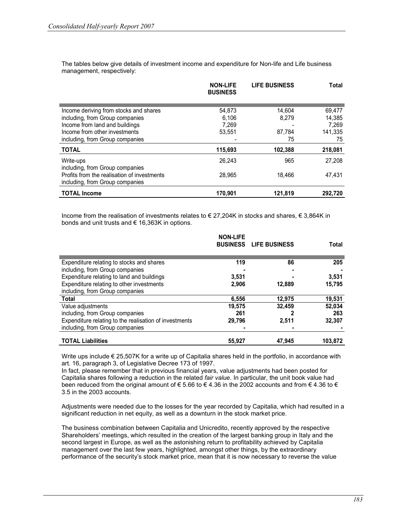The tables below give details of investment income and expenditure for Non-life and Life business management, respectively:

|                                             | <b>NON-LIFE</b><br><b>BUSINESS</b> | <b>LIFE BUSINESS</b> | Total   |
|---------------------------------------------|------------------------------------|----------------------|---------|
|                                             |                                    |                      |         |
| Income deriving from stocks and shares      | 54.873                             | 14.604               | 69,477  |
| including, from Group companies             | 6,106                              | 8.279                | 14.385  |
| Income from land and buildings              | 7.269                              |                      | 7.269   |
| Income from other investments               | 53.551                             | 87.784               | 141.335 |
| including, from Group companies             |                                    | 75                   | 75      |
| <b>TOTAL</b>                                | 115,693                            | 102,388              | 218,081 |
| Write-ups                                   | 26.243                             | 965                  | 27.208  |
| including, from Group companies             |                                    |                      |         |
| Profits from the realisation of investments | 28.965                             | 18,466               | 47,431  |
| including, from Group companies             |                                    |                      |         |
| <b>TOTAL Income</b>                         | 170,901                            | 121,819              | 292.720 |

Income from the realisation of investments relates to € 27,204K in stocks and shares, € 3,864K in bonds and unit trusts and € 16,363K in options.

|                                                        | <b>NON-LIFE</b> | <b>BUSINESS LIFE BUSINESS</b> | Total   |
|--------------------------------------------------------|-----------------|-------------------------------|---------|
| Expenditure relating to stocks and shares              | 119             | 86                            | 205     |
| including, from Group companies                        |                 |                               |         |
| Expenditure relating to land and buildings             | 3,531           |                               | 3,531   |
| Expenditure relating to other investments              | 2,906           | 12,889                        | 15,795  |
| including, from Group companies                        |                 |                               |         |
| <b>Total</b>                                           | 6,556           | 12,975                        | 19,531  |
| Value adjustments                                      | 19,575          | 32.459                        | 52,034  |
| including, from Group companies                        | 261             |                               | 263     |
| Expenditure relating to the realisation of investments | 29,796          | 2,511                         | 32,307  |
| including, from Group companies                        |                 |                               |         |
| <b>TOTAL Liabilities</b>                               | 55,927          | 47.945                        | 103.872 |

Write ups include € 25,507K for a write up of Capitalia shares held in the portfolio, in accordance with art. 16, paragraph 3, of Legislative Decree 173 of 1997.

In fact, please remember that in previous financial years, value adjustments had been posted for Capitalia shares following a reduction in the related fair value. In particular, the unit book value had been reduced from the original amount of  $\epsilon$  5.66 to  $\epsilon$  4.36 in the 2002 accounts and from  $\epsilon$  4.36 to  $\epsilon$ 3.5 in the 2003 accounts.

Adjustments were needed due to the losses for the year recorded by Capitalia, which had resulted in a significant reduction in net equity, as well as a downturn in the stock market price.

The business combination between Capitalia and Unicredito, recently approved by the respective Shareholders' meetings, which resulted in the creation of the largest banking group in Italy and the second largest in Europe, as well as the astonishing return to profitability achieved by Capitalia management over the last few years, highlighted, amongst other things, by the extraordinary performance of the security's stock market price, mean that it is now necessary to reverse the value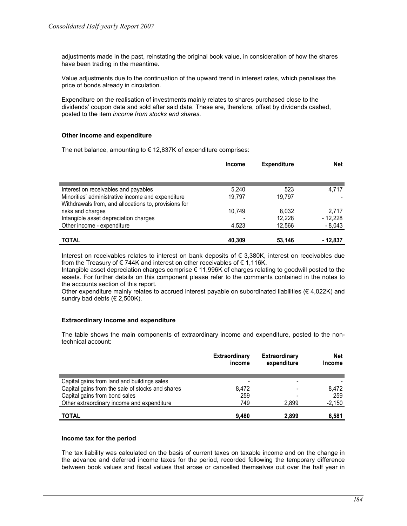adjustments made in the past, reinstating the original book value, in consideration of how the shares have been trading in the meantime.

Value adjustments due to the continuation of the upward trend in interest rates, which penalises the price of bonds already in circulation.

Expenditure on the realisation of investments mainly relates to shares purchased close to the dividends' coupon date and sold after said date. These are, therefore, offset by dividends cashed, posted to the item income from stocks and shares.

#### Other income and expenditure

The net balance, amounting to  $\epsilon$  12,837K of expenditure comprises:

|                                                                                                           | <b>Income</b> | <b>Expenditure</b> | <b>Net</b> |
|-----------------------------------------------------------------------------------------------------------|---------------|--------------------|------------|
|                                                                                                           |               |                    |            |
| Interest on receivables and payables                                                                      | 5,240         | 523                | 4,717      |
| Minorities' administrative income and expenditure<br>Withdrawals from, and allocations to, provisions for | 19.797        | 19.797             |            |
| risks and charges                                                                                         | 10.749        | 8.032              | 2.717      |
| Intangible asset depreciation charges                                                                     |               | 12.228             | $-12.228$  |
| Other income - expenditure                                                                                | 4,523         | 12,566             | $-8,043$   |
| <b>TOTAL</b>                                                                                              | 40,309        | 53,146             | - 12,837   |

Interest on receivables relates to interest on bank deposits of € 3,380K, interest on receivables due from the Treasury of €744K and interest on other receivables of €1,116K.

Intangible asset depreciation charges comprise € 11,996K of charges relating to goodwill posted to the assets. For further details on this component please refer to the comments contained in the notes to the accounts section of this report.

Other expenditure mainly relates to accrued interest payable on subordinated liabilities ( $\epsilon$  4,022K) and sundry bad debts ( $\in$  2,500K).

## Extraordinary income and expenditure

The table shows the main components of extraordinary income and expenditure, posted to the nontechnical account:

|                                                  | Extraordinary<br>income | Extraordinary<br>expenditure | <b>Net</b><br><b>Income</b> |
|--------------------------------------------------|-------------------------|------------------------------|-----------------------------|
| Capital gains from land and buildings sales      |                         |                              |                             |
| Capital gains from the sale of stocks and shares | 8.472                   |                              | 8.472                       |
| Capital gains from bond sales                    | 259                     |                              | 259                         |
| Other extraordinary income and expenditure       | 749                     | 2.899                        | $-2,150$                    |
| <b>TOTAL</b>                                     | 9.480                   | 2.899                        | 6,581                       |

#### Income tax for the period

The tax liability was calculated on the basis of current taxes on taxable income and on the change in the advance and deferred income taxes for the period, recorded following the temporary difference between book values and fiscal values that arose or cancelled themselves out over the half year in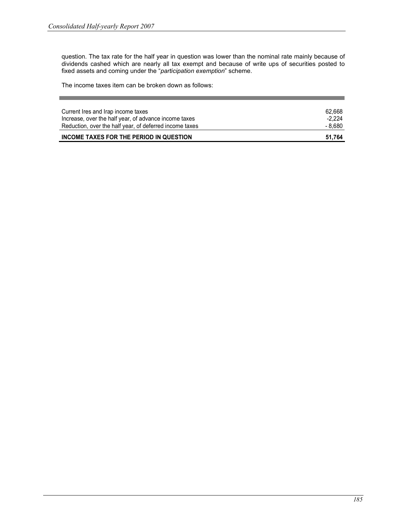question. The tax rate for the half year in question was lower than the nominal rate mainly because of dividends cashed which are nearly all tax exempt and because of write ups of securities posted to fixed assets and coming under the "participation exemption" scheme.

The income taxes item can be broken down as follows:

| Current Ires and Irap income taxes                      | 62.668   |
|---------------------------------------------------------|----------|
| Increase, over the half year, of advance income taxes   | $-2.224$ |
| Reduction, over the half year, of deferred income taxes | - 8,680  |
| INCOME TAXES FOR THE PERIOD IN QUESTION                 | 51.764   |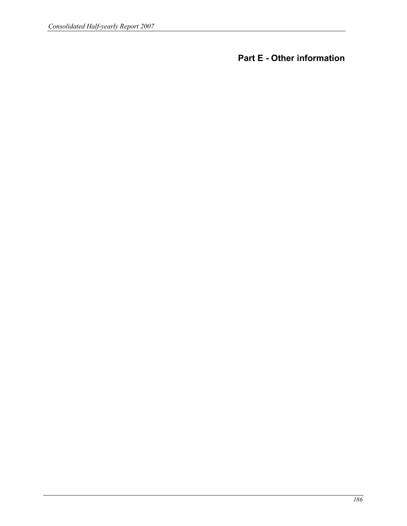Part E - Other information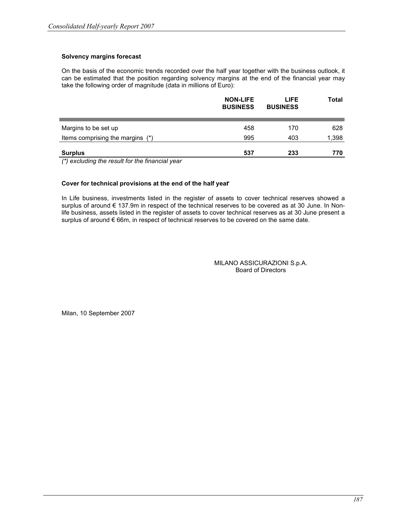# Solvency margins forecast

On the basis of the economic trends recorded over the half year together with the business outlook, it can be estimated that the position regarding solvency margins at the end of the financial year may take the following order of magnitude (data in millions of Euro):

|                                                                                                    | <b>NON-LIFE</b><br><b>BUSINESS</b> | LIFE.<br><b>BUSINESS</b> | Total |
|----------------------------------------------------------------------------------------------------|------------------------------------|--------------------------|-------|
| Margins to be set up                                                                               | 458                                | 170                      | 628   |
| Items comprising the margins (*)                                                                   | 995                                | 403                      | 1,398 |
| <b>Surplus</b>                                                                                     | 537                                | 233                      | 770   |
| $(\star)$ and distributed that $\star$ are $(\star)$ . It faithful that find $\star$ and $(\star)$ |                                    |                          |       |

(\*) excluding the result for the financial year

## Cover for technical provisions at the end of the half year

In Life business, investments listed in the register of assets to cover technical reserves showed a surplus of around € 137.9m in respect of the technical reserves to be covered as at 30 June. In Nonlife business, assets listed in the register of assets to cover technical reserves as at 30 June present a surplus of around € 66m, in respect of technical reserves to be covered on the same date.

> MILANO ASSICURAZIONI S.p.A. Board of Directors

Milan, 10 September 2007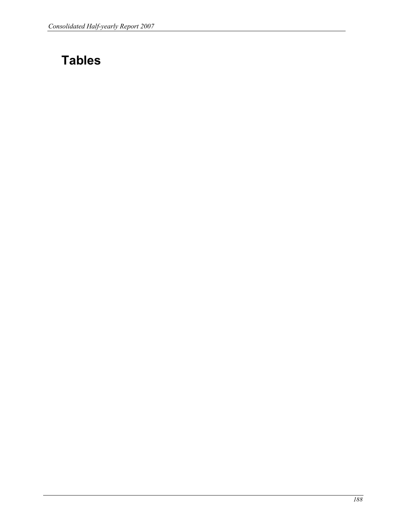# Tables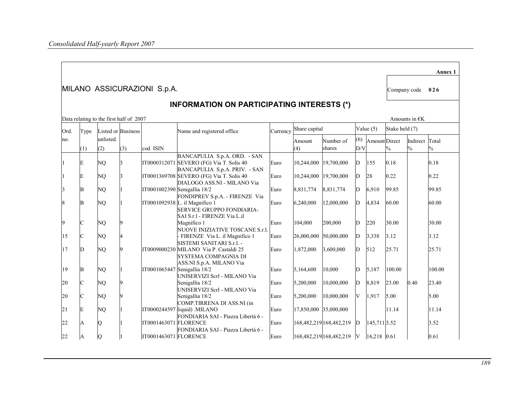|      |                                                   |                                         |                    |                             |                                                                                                    |      |                        |                           |            |               |                |                                 | Annex 1       |  |
|------|---------------------------------------------------|-----------------------------------------|--------------------|-----------------------------|----------------------------------------------------------------------------------------------------|------|------------------------|---------------------------|------------|---------------|----------------|---------------------------------|---------------|--|
|      |                                                   |                                         |                    | MILANO ASSICURAZIONI S.p.A. |                                                                                                    |      |                        |                           |            |               | Company code   |                                 | 026           |  |
|      | <b>INFORMATION ON PARTICIPATING INTERESTS (*)</b> |                                         |                    |                             |                                                                                                    |      |                        |                           |            |               |                |                                 |               |  |
|      |                                                   | Data relating to the first half of 2007 |                    |                             |                                                                                                    |      |                        |                           |            |               |                | Amounts in $\n  \n E\n$         |               |  |
| Ord. | Type                                              |                                         | Listed or Business |                             | Name and registered office                                                                         |      | Currency Share capital |                           |            | Value $(5)$   | Stake held (7) |                                 |               |  |
| no.  | (1)                                               | unlisted.<br>(2)                        | (3)                | cod ISIN                    |                                                                                                    |      | Amount<br>(4)          | Number of<br>shares       | (6)<br>D/V | Amount Direct | $\frac{0}{0}$  | Indirect Total<br>$\frac{0}{0}$ | $\frac{0}{0}$ |  |
|      |                                                   |                                         |                    |                             | BANCAPULIA S.p.A. ORD. - SAN                                                                       |      |                        |                           |            |               |                |                                 |               |  |
|      | Е                                                 | NQ                                      | 3                  |                             | IT0000312071 SEVERO (FG) Via T. Solis 40<br>BANCAPULIA S.p.A. PRIV. - SAN                          | Euro | 10,244,000             | 19,700,000                | D          | 155           | 0.18           |                                 | 0.18          |  |
|      | E                                                 | NQ                                      |                    |                             | IT0001369708 SEVERO (FG) Via T. Solis 40<br>DIALOGO ASS.NI - MILANO Via                            | Euro | 10,244,000             | 19,700,000                | D          | 28            | 0.22           |                                 | 0.22          |  |
|      | B                                                 | NQ                                      |                    |                             | IT0001002390 Senigallia 18/2<br>FONDIPREV S.p.A. - FIRENZE Via                                     | Euro | 8,831,774              | 8,831,774                 | D          | 6,910         | 99.85          |                                 | 99.85         |  |
|      | B                                                 | NO                                      |                    |                             | IT0001092938 L. il Magnifico 1<br><b>SERVICE GRUPPO FONDIARIA-</b><br>SAI S.r.1 - FIRENZE Via L.il | Euro | 6,240,000              | 12,000,000                | D          | 4,834         | 60.00          |                                 | 60.00         |  |
|      | C                                                 | NQ                                      | <b>Q</b>           |                             | Magnifico 1<br>NUOVE INIZIATIVE TOSCANE S.r.l.                                                     | Euro | 104,000                | 200,000                   | D          | 220           | 30.00          |                                 | 30.00         |  |
| 15   |                                                   | NO                                      | 4                  |                             | - FIRENZE Via L. il Magnifico 1<br>SISTEMI SANITARI S.r.l. -                                       | Euro | 26,000,000             | 50,000,000                | D          | 3,338         | 3.12           |                                 | 3.12          |  |
| 17   | D                                                 | NQ                                      | <b>Q</b>           |                             | IT0009000230 MILANO Via P. Castaldi 25<br>SYSTEMA COMPAGNIA DI<br>ASS.NI S.p.A. MILANO Via         | Euro | 1,872,000              | 3,600,000                 | D          | 512           | 25.71          |                                 | 25.71         |  |
| 19   | B                                                 | NQ                                      |                    |                             | IT0001065447 Senigallia 18/2<br>UNISERVIZI Scrl - MILANO Via                                       | Euro | 5,164,600              | 10,000                    | D          | 5,187         | 100.00         |                                 | 100.00        |  |
| 20   |                                                   | NQ                                      | 9                  |                             | Senigallia 18/2<br>UNISERVIZI Scrl - MILANO Via                                                    | Euro | 5,200,000              | 10,000,000                | D          | 8,819         | 23.00          | 0.40                            | 23.40         |  |
| 20   |                                                   | NQ                                      | Q                  |                             | Senigallia 18/2<br>COMP.TIRRENA DI ASS.NI (in                                                      | Euro | 5,200,000              | 10,000,000                | V          | 1,917         | 5.00           |                                 | 5.00          |  |
| 21   | E                                                 | NQ                                      |                    |                             | IT0000244597 liquid) .MILANO<br>FONDIARIA SAI - Piazza Libertà 6 -                                 | Euro | 17,850,000 35,000,000  |                           |            |               | 11.14          |                                 | 11.14         |  |
| 22   | A                                                 | Q                                       |                    | IT0001463071 FLORENCE       | FONDIARIA SAI - Piazza Libertà 6 -                                                                 | Euro |                        | 168,482,219 168,482,219   | D          | 145,711 3.52  |                |                                 | 3.52          |  |
| 22   | A                                                 | Q                                       |                    | IT0001463071 FLORENCE       |                                                                                                    | Euro |                        | 168,482,219 168,482,219 V |            | 16,218 0.61   |                |                                 | 0.61          |  |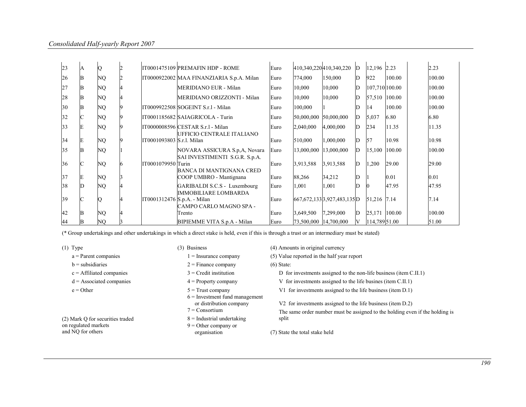| 23 | $\overline{A}$ | Q  |                             | IT0001475109 PREMAFIN HDP - ROME                                      | Euro |                       | 410,340,220 410,340,220          | D | 12,196 2.23    |        | 2.23   |
|----|----------------|----|-----------------------------|-----------------------------------------------------------------------|------|-----------------------|----------------------------------|---|----------------|--------|--------|
| 26 | B              | NQ |                             | IT0000922002 MAA FINANZIARIA S.p.A. Milan                             | Euro | 774,000               | 150,000                          | D | 922            | 100.00 | 100.00 |
| 27 | B              | NQ |                             | MERIDIANO EUR - Milan                                                 | Euro | 10,000                | 10,000                           | D | 107,710 100.00 |        | 100.00 |
| 28 | B              | NQ |                             | MERIDIANO ORIZZONTI - Milan                                           | Euro | 10,000                | 10,000                           | D | 57,510 100.00  |        | 100.00 |
| 30 | B              | NQ |                             | IT0009922508 SOGEINT S.r.1 - Milan                                    | Euro | 100,000               |                                  |   | 14             | 100.00 | 100.00 |
| 32 | C              | NQ |                             | IT0001185682 SAIAGRICOLA - Turin                                      | Euro | 50,000,000            | 50,000,000                       | D | 5,037          | 6.80   | 6.80   |
| 33 | E              | NQ |                             | IT0000008596 CESTAR S.r.1 - Milan<br><b>UFFICIO CENTRALE ITALIANO</b> | Euro | 2,040,000             | 4,000,000                        | D | 234            | 11.35  | 11.35  |
| 34 | E              | NQ | IT0001093803 S.r.1. Milan   |                                                                       | Euro | 510,000               | 1,000,000                        | D | 157            | 10.98  | 10.98  |
| 35 | <b>B</b>       | NQ |                             | NOVARA ASSICURA S.p,A, Novara<br>SAI INVESTIMENTI S.G.R. S.p.A.       | Euro | 13,000,000            | 13,000,000                       | D | 15,100         | 100.00 | 100.00 |
| 36 | C              | NQ | IT0001079950 Turin          | BANCA DI MANTIGNANA CRED                                              | Euro | 3,913,588             | 3,913,588                        | D | 1,200          | 29.00  | 29.00  |
| 37 | E              | NQ |                             | COOP UMBRO - Mantignana                                               | Euro | 88,266                | 34,212                           | D |                | 0.01   | 0.01   |
| 38 | ID             | NQ |                             | GARIBALDI S.C.S - Luxembourg<br><b>IMMOBILIARE LOMBARDA</b>           | Euro | 1,001                 | 1,001                            |   |                | 47.95  | 47.95  |
| 39 |                | Q  | IT0001312476 S.p.A. - Milan | CAMPO CARLO MAGNO SPA -                                               | Euro |                       | 667, 672, 133 3, 927, 483, 135 D |   | 51,216 7.14    |        | 7.14   |
| 42 | B              | NQ |                             | Trento                                                                | Euro | 3,649,500             | 7,299,000                        | D | 25,171 100.00  |        | 100.00 |
| 44 | B              | NQ |                             | BIPIEMME VITA S.p.A - Milan                                           | Euro | 73,500,000 14,700,000 |                                  | V | 114,789 51.00  |        | 51.00  |

(\* Group undertakings and other undertakings in which a direct stake is held, even if this is through a trust or an intermediary must be stated)

(1) Type (3) Business (4) Amounts in original currency a = Parent companies 1 = Insurance company (5) Value reported in the half year report  $b =$ subsidiaries 2 = Finance company (6) State:  $c =$  Affiliated companies  $3 =$  Credit institution D for investments assigned to the non-life business (item C.II.1) d = Associated companies 4 = Property company V for investments assigned to the life busines (item C.II.1) e = Other 5 = Trust company V1 for investments assigned to the life business (item D.1) 6 = Investment fund management or distribution company V2 for investments assigned to the life business (item D.2)  $7 =$ Consortium  $8$  = Industrial undertaking The same order number must be assigned to the holding even if the holding is (2) Mark Q for securities traded  $8 =$  Industrial undertaking split on regulated markets and NQ for others  $9 =$  Other company or<br>organisation (7) State the total stake held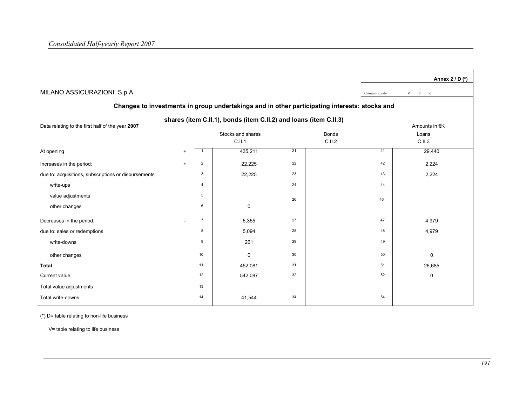|                                                                                                                                        |     |                |             |    |         |              | Annex 2 / D (*) |  |  |  |  |  |  |
|----------------------------------------------------------------------------------------------------------------------------------------|-----|----------------|-------------|----|---------|--------------|-----------------|--|--|--|--|--|--|
| MILANO ASSICURAZIONI S.p.A.                                                                                                            |     |                |             |    |         | Company code | $0 \t 2 \t 6$   |  |  |  |  |  |  |
| Changes to investments in group undertakings and in other participating interests: stocks and                                          |     |                |             |    |         |              |                 |  |  |  |  |  |  |
| shares (item C.II.1), bonds (item C.II.2) and loans (item C.II.3)<br>Data relating to the first half of the year 2007<br>Amounts in €K |     |                |             |    |         |              |                 |  |  |  |  |  |  |
| Stocks and shares<br><b>Bonds</b><br>Loans                                                                                             |     |                |             |    |         |              |                 |  |  |  |  |  |  |
|                                                                                                                                        |     |                | C.II.1      |    | C.I.I.2 |              | C.II.3          |  |  |  |  |  |  |
| At opening                                                                                                                             | $+$ | $\overline{1}$ | 435,211     | 21 |         | 41           | 29,440          |  |  |  |  |  |  |
| Increases in the period:                                                                                                               | $+$ | $\overline{2}$ | 22,225      | 22 |         | 42           | 2,224           |  |  |  |  |  |  |
| due to: acquisitions, subscriptions or disbursements                                                                                   |     | 3              | 22,225      | 23 |         | 43           | 2,224           |  |  |  |  |  |  |
| write-ups                                                                                                                              |     | 4              |             | 24 |         | 44           |                 |  |  |  |  |  |  |
| value adjustments                                                                                                                      |     | 5              |             | 26 |         | 46           |                 |  |  |  |  |  |  |
| other changes                                                                                                                          |     | 6              | $\pmb{0}$   |    |         |              |                 |  |  |  |  |  |  |
| Decreases in the period:                                                                                                               |     | $\overline{7}$ | 5,355       | 27 |         | 47           | 4,979           |  |  |  |  |  |  |
| due to: sales or redemptions                                                                                                           |     | 8              | 5,094       | 28 |         | 48           | 4,979           |  |  |  |  |  |  |
| write-downs                                                                                                                            |     | 9              | 261         | 29 |         | 49           |                 |  |  |  |  |  |  |
| other changes                                                                                                                          |     | 10             | $\mathbf 0$ | 30 |         | 50           | 0               |  |  |  |  |  |  |
| <b>Total</b>                                                                                                                           |     | 11             | 452,081     | 31 |         | 51           | 26,685          |  |  |  |  |  |  |
| Current value                                                                                                                          |     | 12             | 542,087     | 32 |         | 52           | 0               |  |  |  |  |  |  |
| Total value adjustments                                                                                                                |     | 13             |             |    |         |              |                 |  |  |  |  |  |  |
| Total write-downs                                                                                                                      |     | 14             | 41,544      | 34 |         | 54           |                 |  |  |  |  |  |  |

(\*) D= table relating to non-life business

V= table relating to life business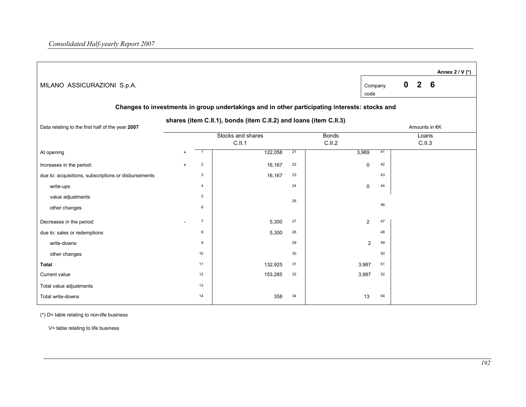|                                                      |           |                |                                                                                               |    |              |                 |    |             |            |               | Annex 2 / V (*) |
|------------------------------------------------------|-----------|----------------|-----------------------------------------------------------------------------------------------|----|--------------|-----------------|----|-------------|------------|---------------|-----------------|
| MILANO ASSICURAZIONI S.p.A.                          |           |                |                                                                                               |    |              | Company<br>code |    | $\mathbf 0$ | $2\quad 6$ |               |                 |
|                                                      |           |                | Changes to investments in group undertakings and in other participating interests: stocks and |    |              |                 |    |             |            |               |                 |
| Data relating to the first half of the year 2007     |           |                | shares (item C.II.1), bonds (item C.II.2) and loans (item C.II.3)                             |    |              |                 |    |             |            | Amounts in €K |                 |
|                                                      |           |                | Stocks and shares                                                                             |    | <b>Bonds</b> |                 |    |             | Loans      |               |                 |
|                                                      |           |                | C.II.1                                                                                        |    | C.II.2       |                 |    |             | C.II.3     |               |                 |
| At opening                                           | $\ddot{}$ | $\overline{1}$ | 122,058                                                                                       | 21 | 3,989        |                 | 41 |             |            |               |                 |
| Increases in the period:                             | $+$       | $\overline{2}$ | 16,167                                                                                        | 22 |              | $\mathbf 0$     | 42 |             |            |               |                 |
| due to: acquisitions, subscriptions or disbursements |           | 3              | 16,167                                                                                        | 23 |              |                 | 43 |             |            |               |                 |
| write-ups                                            |           | 4              |                                                                                               | 24 |              | $\mathbf 0$     | 44 |             |            |               |                 |
| value adjustments                                    |           | 5              |                                                                                               | 26 |              |                 |    |             |            |               |                 |
| other changes                                        |           | 6              |                                                                                               |    |              |                 | 46 |             |            |               |                 |
| Decreases in the period:                             |           | $\overline{7}$ | 5,300                                                                                         | 27 |              | $\overline{2}$  | 47 |             |            |               |                 |
| due to: sales or redemptions                         |           | 8              | 5,300                                                                                         | 28 |              |                 | 48 |             |            |               |                 |
| write-downs                                          |           | 9              |                                                                                               | 29 |              | $\overline{2}$  | 49 |             |            |               |                 |
| other changes                                        |           | 10             |                                                                                               | 30 |              |                 | 50 |             |            |               |                 |
| <b>Total</b>                                         |           | 11             | 132,925                                                                                       | 31 |              | 3,987           | 51 |             |            |               |                 |
| Current value                                        |           | 12             | 153,285                                                                                       | 32 |              | 3,987           | 52 |             |            |               |                 |
| Total value adjustments                              |           | 13             |                                                                                               |    |              |                 |    |             |            |               |                 |
| Total write-downs                                    |           | 14             | 358                                                                                           | 34 |              | 13              | 54 |             |            |               |                 |

(\*) D= table relating to non-life business

V= table relating to life business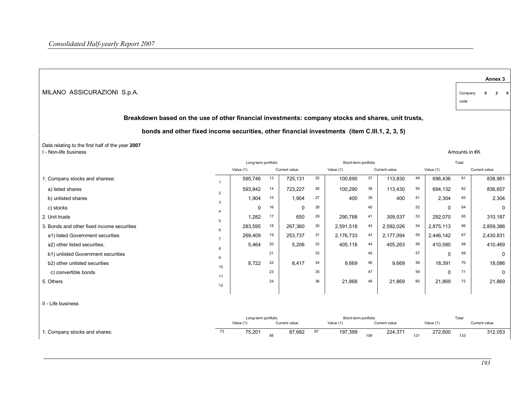|                                                                                                    |                |                                  |    |               |    |                                   |     |               |     |           |                 |               | Annex <sub>3</sub> |
|----------------------------------------------------------------------------------------------------|----------------|----------------------------------|----|---------------|----|-----------------------------------|-----|---------------|-----|-----------|-----------------|---------------|--------------------|
| MILANO ASSICURAZIONI S.p.A.                                                                        |                |                                  |    |               |    |                                   |     |               |     |           | Company<br>code | $\mathbf{0}$  | $\mathbf{2}$<br>6  |
| Breakdown based on the use of other financial investments: company stocks and shares, unit trusts, |                |                                  |    |               |    |                                   |     |               |     |           |                 |               |                    |
| bonds and other fixed income securities, other financial investments (item C.III.1, 2, 3, 5)       |                |                                  |    |               |    |                                   |     |               |     |           |                 |               |                    |
| Data relating to the first half of the year 2007<br>I - Non-life business                          |                |                                  |    |               |    |                                   |     |               |     |           | Amounts in €K   |               |                    |
|                                                                                                    |                | Long-term portfolio              |    |               |    | Short-term portfolio              |     |               |     |           | Total           |               |                    |
|                                                                                                    |                | Value (1)                        |    | Current value |    | Value (1)                         |     | Current value |     | Value (1) |                 | Current value |                    |
| 1. Company stocks and sharese:                                                                     | $\overline{1}$ | 595,746                          | 13 | 725,131       | 25 | 100,690                           | 37  | 113,830       | 49  | 696,436   | 61              |               | 838,961            |
| a) listed shares                                                                                   | $\overline{2}$ | 593.842                          | 14 | 723,227       | 26 | 100,290                           | 38  | 113,430       | 50  | 694.132   | 62              |               | 836,657            |
| b) unlisted shares                                                                                 | 3              | 1,904                            | 15 | 1,904         | 27 | 400                               | 39  | 400           | 51  | 2,304     | 63              |               | 2,304              |
| c) stocks                                                                                          | $\overline{4}$ | $\Omega$                         | 16 | $\Omega$      | 28 |                                   | 40  |               | 52  | $\Omega$  | 64              |               | $\Omega$           |
| 2. Unit trusts                                                                                     | 5              | 1.282                            | 17 | 650           | 29 | 290.788                           | 41  | 309.537       | 53  | 292.070   | 65              |               | 310.187            |
| 3. Bonds and other fixed income securities                                                         | 6              | 283.595                          | 18 | 267,360       | 30 | 2,591,518                         | 42  | 2,592,026     | 54  | 2,875,113 | 66              |               | 2,859,386          |
| a1) listed Government securities                                                                   | $\overline{7}$ | 269,409                          | 19 | 253,737       | 31 | 2,176,733                         | 43  | 2,177,094     | 55  | 2,446,142 | 67              |               | 2,430,831          |
| a2) other listed securities.                                                                       | 8              | 5,464                            | 20 | 5,206         | 32 | 405,116                           | 44  | 405,263       | 56  | 410,580   | 68              |               | 410,469            |
| b1) unlisted Government securities                                                                 | 9              |                                  | 21 |               | 33 |                                   | 45  |               | 57  | $\Omega$  | 69              |               | 0                  |
| b2) other unlisted securities                                                                      | 10             | 8,722                            | 22 | 8,417         | 34 | 9,669                             | 46  | 9.669         | 58  | 18,391    | 70              |               | 18,086             |
| c) convertible bonds                                                                               | 11             |                                  | 23 |               | 35 |                                   | 47  |               | 59  | $\Omega$  | 71              |               | 0                  |
| 5. Others                                                                                          | 12             |                                  | 24 |               | 36 | 21,868                            | 48  | 21,869        | 60  | 21,869    | 72              |               | 21,869             |
| II - Life business                                                                                 |                |                                  |    |               |    |                                   |     |               |     |           |                 |               |                    |
|                                                                                                    |                | Long-term portfolio<br>Value (1) |    | Current value |    | Short-term portfolio<br>Value (1) |     | Current value |     | Value (1) | Total           | Current value |                    |
| 1. Company stocks and shares:                                                                      | 73             | 75.201                           | 85 | 87.682        | 97 | 197.399                           | 109 | 224,371       | 121 | 272.600   | 133             |               | 312,053            |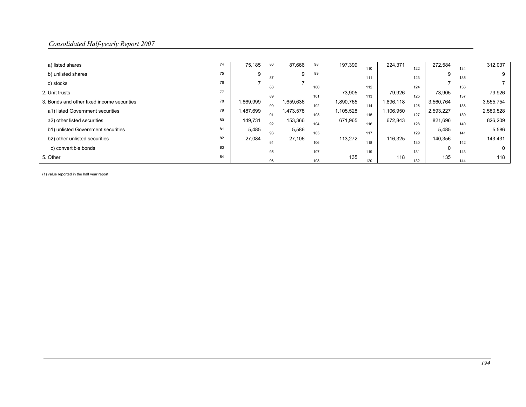| a) listed shares                           | 74 | 75,185    | 86 | 87,666    | 98  | 197,399   | 110 | 224,371   | 122 | 272,584   | 134 | 312,037   |
|--------------------------------------------|----|-----------|----|-----------|-----|-----------|-----|-----------|-----|-----------|-----|-----------|
| b) unlisted shares                         | 75 | 9         | 87 | 9         | 99  |           | 111 |           | 123 |           | 135 | 9         |
| c) stocks                                  | 76 |           | 88 |           | 100 |           | 112 |           | 124 |           | 136 |           |
| 2. Unit trusts                             | 77 |           |    |           |     | 73,905    |     | 79,926    |     | 73,905    |     | 79,926    |
| 3. Bonds and other fixed income securities | 78 | 1,669,999 | 89 | 1,659,636 | 101 | 1,890,765 | 113 | 1,896,118 | 125 | 3,560,764 | 137 | 3,555,754 |
| a1) listed Government securities           | 79 | 1,487,699 | 90 | 1,473,578 | 102 | 1,105,528 | 114 | 1,106,950 | 126 | 2,593,227 | 138 | 2,580,528 |
| a2) other listed securities                | 80 | 149,731   | 91 | 153,366   | 103 | 671,965   | 115 | 672,843   | 127 | 821,696   | 139 | 826,209   |
| b1) unlisted Government securities         | 81 | 5,485     | 92 | 5,586     | 104 |           | 116 |           | 128 | 5,485     | 140 | 5,586     |
| b2) other unlisted securities              | 82 | 27,084    | 93 | 27,106    | 105 | 113,272   | 117 | 116,325   | 129 | 140,356   | 141 | 143,431   |
| c) convertible bonds                       | 83 |           | 94 |           | 106 |           | 118 |           | 130 |           | 142 | $\Omega$  |
|                                            |    |           | 95 |           | 107 |           | 119 |           | 131 |           | 143 |           |
| 5. Other                                   | 84 |           | 96 |           | 108 | 135       | 120 | 118       | 132 | 135       | 144 | 118       |

(1) value reported in the half year report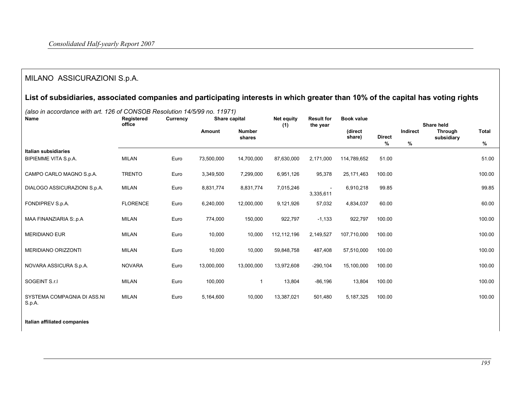# MILANO ASSICURAZIONI S.p.A.

# List of subsidiaries, associated companies and participating interests in which greater than 10% of the capital has voting rights

 Currency Share capital Name Registered office Share held Through Amount Net equity (1) Result for the year Direct Number (direct Indirect Through Total shares Book value (direct share) % % subsidiary % Italian subsidiaries BIPIEMME VITA S.p.A. MILAN Euro 73,500,000 14,700,000 87,630,000 2,171,000 114,789,652 51.00 51.00CAMPO CARLO MAGNO S.p.A. TRENTO Euro 3,349,500 7,299,000 6,951,126 95,378 25,171,463 100.00 100.00DIALOGO ASSICURAZIONI S.p.A. MILAN Euro 8,831,774 8,831,774 7,015,246 3,335,611 6,910,218 99.85 99.85 FONDIPREV S.p.A. FLORENCE Euro 6,240,000 12,000,000 9,121,926 57,032 4,834,037 60.00 60.00 MAA FINANZIARIA S:.p.A MILAN Euro 774,000 150,000 922,797 -1,133 922,797 100.00 100.00 MERIDIANO EUR MILAN Euro 10,000 10,000 112,112,196 2,149,527 107,710,000 100.00 100.00 MERIDIANO ORIZZONTI MILAN Euro 10,000 10,000 59,848,758 487,408 57,510,000 100.00 100.00 NOVARA ASSICURA S.p.A. NOVARA Euro 13,000,000 13,000,000 13,972,608 -290,104 15,100,000 100.00 100.00 SOGEINT S.r.l MILAN Euro 100,000 1 13,804 -86,196 13,804 100.00 100.00 SYSTEMA COMPAGNIA DI ASS.NI S.p.A. MILAN Euro 5,164,600 10,000 13,387,021 501,480 5,187,325 100.00 100.00

(also in accordance with art. 126 of CONSOB Resolution 14/5/99 no. 11971)

#### Italian affiliated companies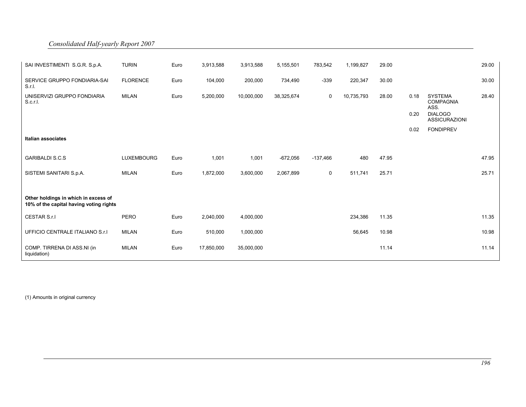| SAI INVESTIMENTI S.G.R. S.p.A.                                                  | <b>TURIN</b>      | Euro | 3,913,588  | 3,913,588  | 5,155,501  | 783,542     | 1,199,827  | 29.00 |      |                                            | 29.00 |
|---------------------------------------------------------------------------------|-------------------|------|------------|------------|------------|-------------|------------|-------|------|--------------------------------------------|-------|
| SERVICE GRUPPO FONDIARIA-SAI<br>S.r.I.                                          | <b>FLORENCE</b>   | Euro | 104,000    | 200,000    | 734,490    | $-339$      | 220,347    | 30.00 |      |                                            | 30.00 |
| UNISERVIZI GRUPPO FONDIARIA<br>S.c.r.l.                                         | MILAN             | Euro | 5,200,000  | 10,000,000 | 38,325,674 | 0           | 10,735,793 | 28.00 | 0.18 | <b>SYSTEMA</b><br><b>COMPAGNIA</b><br>ASS. | 28.40 |
|                                                                                 |                   |      |            |            |            |             |            |       | 0.20 | <b>DIALOGO</b><br><b>ASSICURAZIONI</b>     |       |
|                                                                                 |                   |      |            |            |            |             |            |       | 0.02 | <b>FONDIPREV</b>                           |       |
| Italian associates                                                              |                   |      |            |            |            |             |            |       |      |                                            |       |
| <b>GARIBALDI S.C.S</b>                                                          | <b>LUXEMBOURG</b> | Euro | 1,001      | 1,001      | $-672,056$ | $-137,466$  | 480        | 47.95 |      |                                            | 47.95 |
| SISTEMI SANITARI S.p.A.                                                         | <b>MILAN</b>      | Euro | 1,872,000  | 3,600,000  | 2,067,899  | $\mathsf 0$ | 511,741    | 25.71 |      |                                            | 25.71 |
|                                                                                 |                   |      |            |            |            |             |            |       |      |                                            |       |
| Other holdings in which in excess of<br>10% of the capital having voting rights |                   |      |            |            |            |             |            |       |      |                                            |       |
| CESTAR S.r.I                                                                    | <b>PERO</b>       | Euro | 2,040,000  | 4,000,000  |            |             | 234,386    | 11.35 |      |                                            | 11.35 |
| UFFICIO CENTRALE ITALIANO S.r.I                                                 | <b>MILAN</b>      | Euro | 510,000    | 1,000,000  |            |             | 56,645     | 10.98 |      |                                            | 10.98 |
| COMP. TIRRENA DI ASS.NI (in<br>liquidation)                                     | <b>MILAN</b>      | Euro | 17,850,000 | 35,000,000 |            |             |            | 11.14 |      |                                            | 11.14 |

(1) Amounts in original currency

Consolidated Half-yearly Report 2007